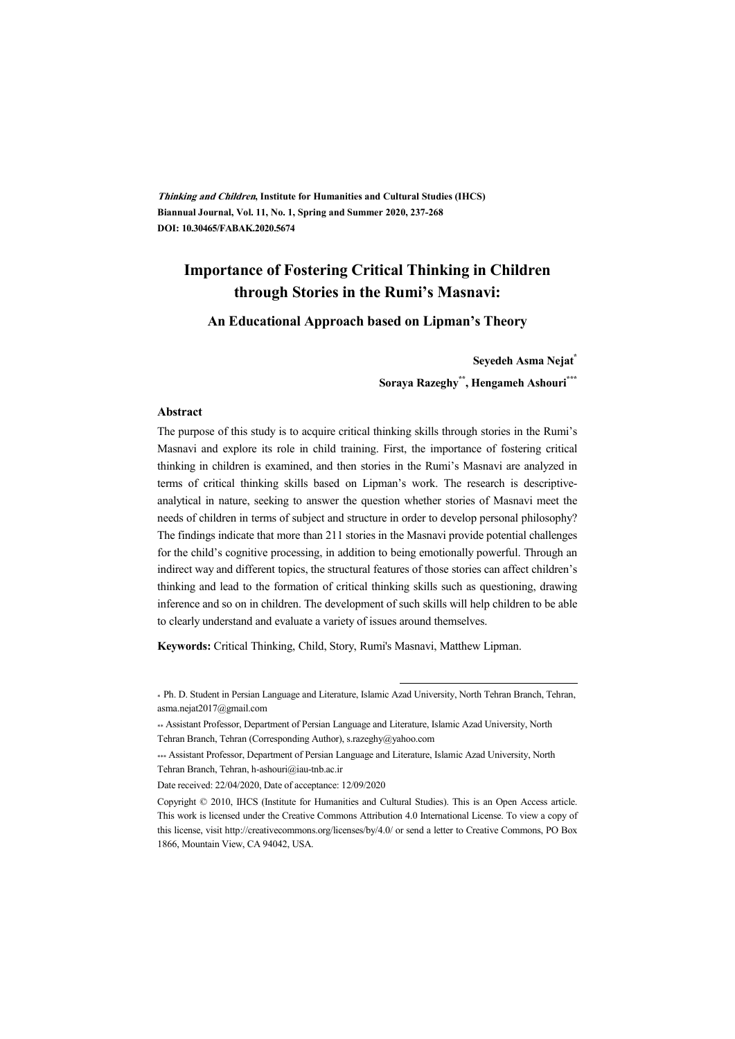**Thinking and Children, Institute for Humanities and Cultural Studies (IHCS) Biannual Journal, Vol. 11, No. 1, Spring and Summer 2020, 237-268 DOI: 10.30465/FABAK.2020.5674** 

# **Importance of Fostering Critical Thinking in Children through Stories in the Rumi's Masnavi:**

#### **An Educational Approach based on Lipman's Theory**

**Seyedeh Asma Nejat\* Soraya Razeghy\*\*, Hengameh Ashouri\*\*\***

#### **Abstract**

The purpose of this study is to acquire critical thinking skills through stories in the Rumi's Masnavi and explore its role in child training. First, the importance of fostering critical thinking in children is examined, and then stories in the Rumi's Masnavi are analyzed in terms of critical thinking skills based on Lipman's work. The research is descriptiveanalytical in nature, seeking to answer the question whether stories of Masnavi meet the needs of children in terms of subject and structure in order to develop personal philosophy? The findings indicate that more than 211 stories in the Masnavi provide potential challenges for the child's cognitive processing, in addition to being emotionally powerful. Through an indirect way and different topics, the structural features of those stories can affect children's thinking and lead to the formation of critical thinking skills such as questioning, drawing inference and so on in children. The development of such skills will help children to be able to clearly understand and evaluate a variety of issues around themselves.

**Keywords:** Critical Thinking, Child, Story, Rumi's Masnavi, Matthew Lipman.

:

<sup>\*</sup> Ph. D. Student in Persian Language and Literature, Islamic Azad University, North Tehran Branch, Tehran, asma.nejat2017@gmail.com

<sup>\*\*</sup> Assistant Professor, Department of Persian Language and Literature, Islamic Azad University, North Tehran Branch, Tehran (Corresponding Author), s.razeghy@yahoo.com

<sup>\*\*\*</sup> Assistant Professor, Department of Persian Language and Literature, Islamic Azad University, North Tehran Branch, Tehran, h-ashouri@iau-tnb.ac.ir

Date received: 22/04/2020, Date of acceptance: 12/09/2020

Copyright © 2010, IHCS (Institute for Humanities and Cultural Studies). This is an Open Access article. This work is licensed under the Creative Commons Attribution 4.0 International License. To view a copy of this license, visit http://creativecommons.org/licenses/by/4.0/ or send a letter to Creative Commons, PO Box 1866, Mountain View, CA 94042, USA.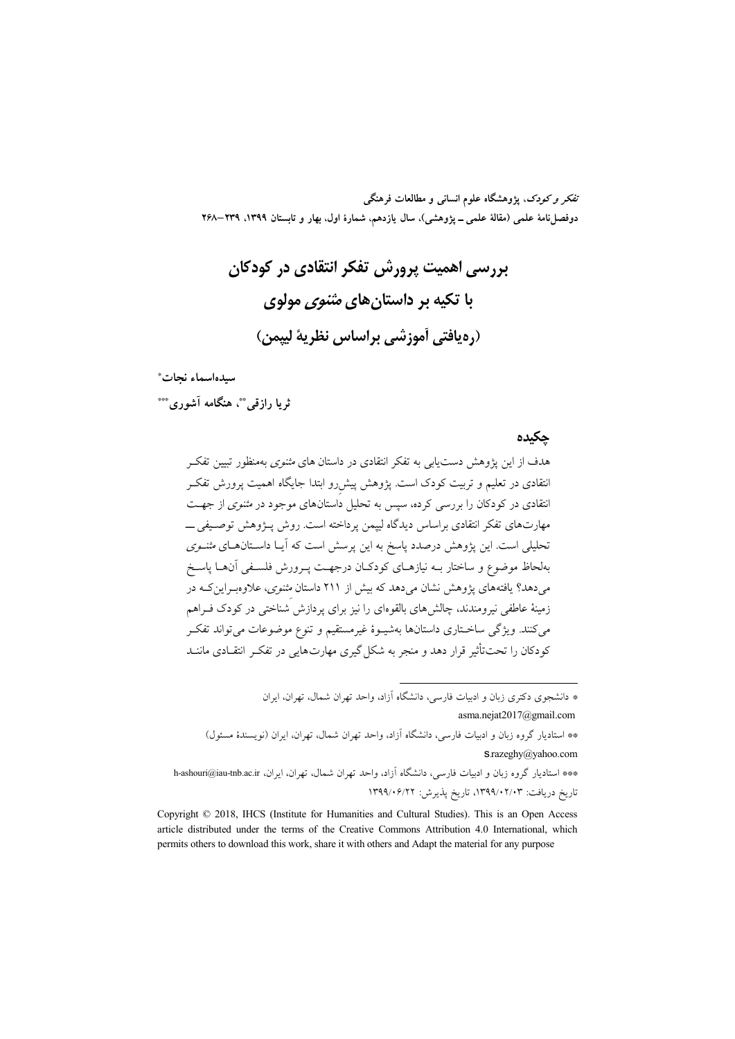تفکر و کودک، یژوهشگاه علوم انسانی و مطالعات فرهنگی دوفصلiامهٔ علمی (مقالهٔ علمی ــ پژوهشی)، سال یازدهم، شمارهٔ اول، بهار و تابستان ۱۳۹۹، ۲۳۹–۲۶۸

سىدەاسماء نحات\*

ثرما رازقي. په هنگامه آشوري. \*\*\*

حكىدە

هدف از این پژوهش دستیابی به تفکر انتقادی در داستان های *مثنوی* بهمنظور تبیین تفکـر انتقادی در تعلیم و تربیت کودک است. یژوهش پیش رو ابتدا جایگاه اهمیت پرورش تفکـر انتقادی در کودکان را بررسی کرده، سپس به تحلیل داستانهای موجود در *مثنوی* از جهت مهارتهای تفکر انتقادی براساس دیدگاه لییمن پرداخته است. روش پــژوهش توصـیفی ــــ تحلیلی است. این پژوهش درصدد پاسخ به این پرسش است که آیـا داسـتانهـای *مثنـوی* بهلحاظ موضوع و ساختار بــه نیازهــای کودکــان درجهــت پــرورش فلســفی آن&ــا پاســخ م<sub>ی ا</sub>دهد؟ یافتههای پژوهش نشان م<sub>ی</sub>دهد که بیش از ۲۱۱ داستان *مثنوی*، علاوهبـراینکـه در زمینهٔ عاطفی نیرومندند، چالش های بالقوهای را نیز برای یردازش شناختی در کودک فـراهم میکنند. ویژگی ساخـتاری داستانها بهشیـوهٔ غیرمستقیم و تنوع موضوعات میتواند تفکـر کودکان را تحت تأثیر قرار دهد و منجر به شکل گیری مهارتهایی در تفکـر انتقــادی ماننــد

\* دانشجوی دکتری زبان و ادبیات فارسه ، دانشگاه آزاد، واحد تهران شمال، تهران، ایران

asma.nejat2017@gmail.com

\*\* استادیار گروه زبان و ادبیات فارسی، دانشگاه آزاد، واحد تهران شمال، تهران، ایران (نویسندهٔ مسئول)  $S$ razeghy@yahoo.com

\*\*\* استادیار گروه زبان و ادبیات فارسی، دانشگاه آزاد، واحد تهران شمال، تهران، ایران، h-ashouri@iau-tnb.ac.ir تاريخ دريافت: ۱۳۹۹/۰۲/۰۳، تاريخ پذيرش: ۱۳۹۹/۰۶/۲۲

Copyright © 2018, IHCS (Institute for Humanities and Cultural Studies). This is an Open Access article distributed under the terms of the Creative Commons Attribution 4.0 International, which permits others to download this work, share it with others and Adapt the material for any purpose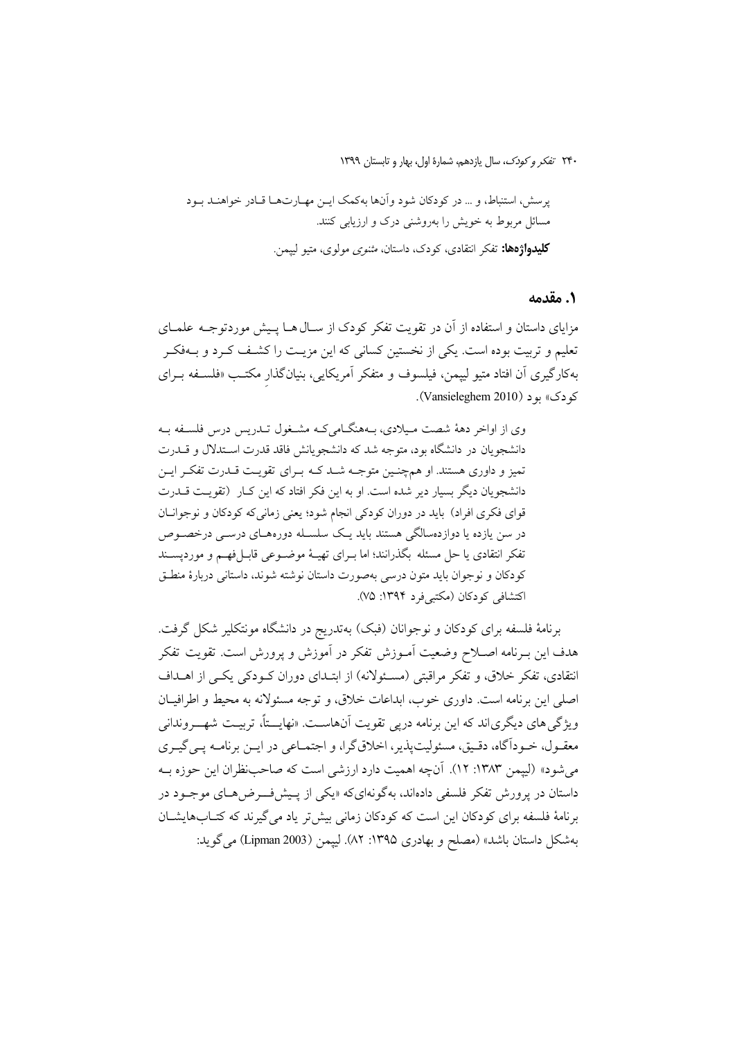#### ۱. مقدمه

مزایای داستان و استفاده از آن در تقویت تفکر کودک از سـال هــا پـیش موردتوجــه علمــای تعلیم و تربیت بوده است. یکی از نخستین کسانی که این مزیـت را کشـف کـرد و بــهفکـر بهکارگیری آن افتاد متیو لیپمن، فیلسوف و متفکر آمریکایی، بنیانگذار مکتـب «فلســفه بــرای کو دک» پو (Vansieleghem 2010).

وي از اواخر دههٔ شصت ميلادي، بـههنگـاميكـه مشـغول تـدريس درس فلسـفه بـه دانشجویان در دانشگاه بود، متوجه شد که دانشجویانش فاقد قدرت اسـتدلال و قــدرت تمیز و داوری هستند. او همچنـین متوجـه شـد کـه بـرای تقویـت قـدرت تفکـر ایـن دانشجویان دیگر بسیار دیر شده است. او به این فکر افتاد که این کـار (تقویـت قــدرت قوای فکری افراد) باید در دوران کودکی انجام شود؛ یعنی زمانی که کودکان و نوجوانان در سن یازده یا دوازدهسالگی هستند باید یک سلسـله دورههـای درسـی درخصـوص تفكر انتقادي يا حل مسئله بگذرانند؛ اما بـراي تهيــهٔ موضــوعي قابــلفهــم و مورديســند كودكان و نوجوان بايد متون درسي بهصورت داستان نوشته شوند، داستاني دربارهٔ منطـق اكتشافي كودكان (مكتبي فرد ١٣٩۴: ٧۵).

برنامهٔ فلسفه برای کودکان و نوجوانان (فبک) بهتدریج در دانشگاه مونتکلیر شکل گرفت. هدف این بـرنامه اصــلاح وضعیت آمـوزش تفکر در آموزش و پرورش است. تقویت تفکر انتقادی، تفکر خلاق، و تفکر مراقبتی (مسـئولانه) از ابتـدای دوران کــودکی یکــی از اهــداف اصلي اين برنامه است. داوري خوب، ابداعات خلاق، و توجه مسئولانه به محيط و اطرافيــان ویژگی های دیگری اند که این برنامه درپی تقویت آنهاست. «نهایـــتاً، تربیـت شهـــروندانی معقـول، خــوداًگاه، دقـيق، مسئوليتيذير، اخلاق&ا، و اجتمــاعي در ايــن برنامــه يــي گيــري می شود» (لییمن ۱۳۸۳: ۱۲). آنچه اهمیت دارد ارزشی است که صاحب ظران این حوزه بـه داستان در پرورش تفکر فلسفی دادهاند، بهگونهایکه «یکی از پـیش فــرض۵هـای موجـود در برنامهٔ فلسفه برای کودکان این است که کودکان زمانی بیش تر یاد می گیرند که کتـابهایشـان بهشكل داستان باشد» (مصلح و بهادري ١٣٩٥: ٨٢). لييمن (Lipman 2003) مي گويد: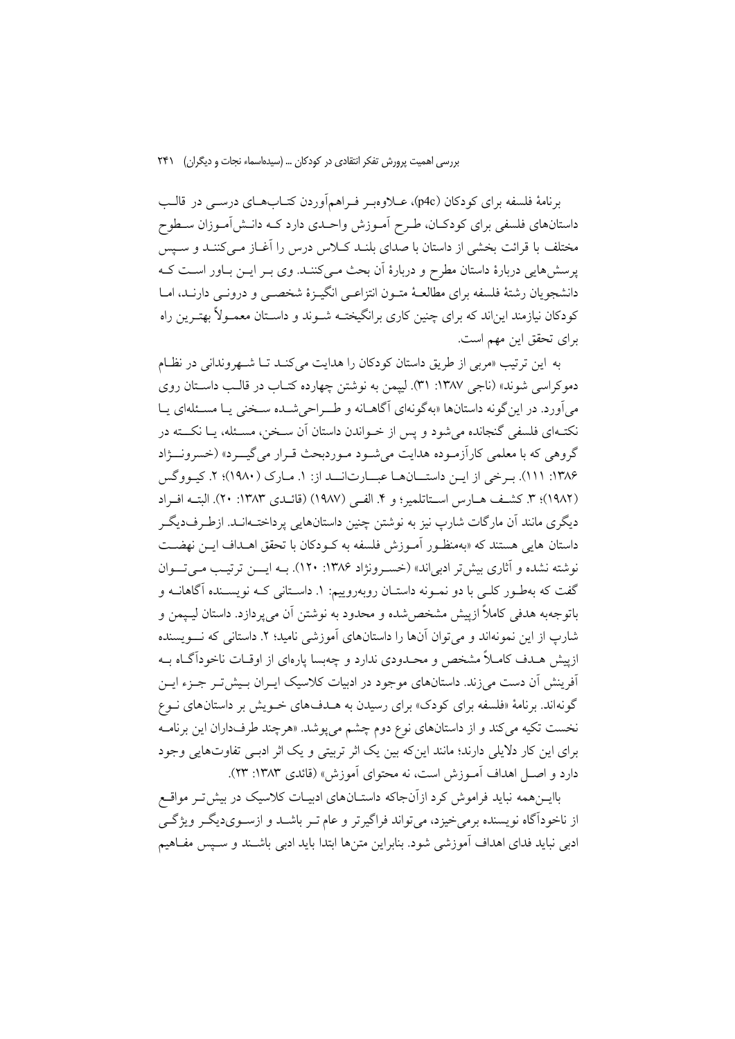برنامهٔ فلسفه برای کودکان (p4c)، عــلاوهبـر فـراهمأوردن کتــابهــای درســی در قالــب داستانهای فلسفی برای کودکـان، طـرح اَمـوزش واحـدی دارد کــه دانـش|مـوزان ســطوح مختلف با قرائت بخشی از داستان با صدای بلنـد کـلاس درس را آغـاز مـیکننـد و سـپس پرسشهایی دربارهٔ داستان مطرح و دربارهٔ آن بحث مـیکننـد. وی بـر ایــن بـاور اسـت کـه دانشجويان رشتهٔ فلسفه براي مطالعـهٔ متـون انتزاعـي انگيـزهٔ شخصـي و درونـي دارنـد، امـا کودکان نیازمند این|ند که برای چنین کاری برانگیختـه شــوند و داســتان معمــولأ بهتـرین راه برای تحقق این مهم است.

به این ترتیب «مربی از طریق داستان کودکان را هدایت می کنـد تـا شـهروندانی در نظـام دموکراسی شوند» (ناجی ۱۳۸۷: ۳۱). لیپمن به نوشتن چهارده کتـاب در قالـب داسـتان روی می آورد. در این گونه داستانها «به گونهای آگاهـانه و طـراحیشـده سـخنی یـا مسـئلهای یـا نکتـهای فلسفی گنجانده می شود و پس از خـواندن داستان آن سـخن، مسـئله، پــا نکـــته در گروهي كه با معلمي كارآزموده هدايت مي شـود مـوردبحث قـرار مي گيــرد» (خسرونـــژاد ۱۳۸۶: ۱۱۱). برخی از این داستانها عبارتاند از: ۱. مارک (۱۹۸۰)؛ ۲. کیووگس (١٩٨٢)؛ ٣. كشف هـارس اسـتاتلمير؛ و ۴. الفـي (١٩٨٧) (قائــدي ١٣٨٣: ٢٠). البتــه افـراد دیگری مانند آن مارگات شارپ نیز به نوشتن چنین داستانهایی پرداخت1انـد. ازطـرفدیگـر داستان هایی هستند که «بهمنظـور آمـوزش فلسفه به کـودکان با تحقق اهـداف ایــن نهضــت نوشته نشده و آثاري بيش تر ادبي اند» (خسـرونژاد ۱۳۸۶: ۱۲۰). بــه ايــــن ترتيـب مــي تـــوان گفت که بهطـور کلـی با دو نمـونه داستـان روبهروییم: ۱. داسـتانی کـه نویسـنده آگاهانــه و باتوجهبه هدفي كاملاً ازييش مشخص شده و محدود به نوشتن آن مي يردازد. داستان ليـيمن و شارب از این نمونهاند و می توان آنها را داستانهای آموزشی نامید؛ ۲. داستانی که نسویسنده ازییش هـدف کامـلاً مشخص و محـدودی ندارد و چهبسا پارهای از اوقــات ناخودآگــاه بــه آفرینش آن دست می زند. داستانهای موجود در ادبیات کلاسیک ایـران بـیش تـر جـزء ایـن گونهاند. برنامهٔ «فلسفه برای کودک» برای رسیدن به هـدفهای خـویش بر داستانهای نـوع .<br>نخست تکیه میکند و از داستانهای نوع دوم چشم میپوشد. «هرچند طرفداران این برنامــه برای این کار دلایلی دارند؛ مانند این که بین یک اثر تربیتی و یک اثر ادبـی تفاوتهایی وجود دارد و اصـل اهداف آمـوزش است، نه محتوای آموزش» (قائدی ۱۳۸۳: ۲۳).

باایــنهمه نباید فراموش کرد ازآنجاکه داستــانهای ادبیــات کلاسیک در بیش تــر مواقــع از ناخودآگاه نویسنده برمیخیزد، می تواند فراگیرتر و عام تـر باشــد و ازســوی‹یگــر ویژگــی ادبی نباید فدای اهداف آموزشی شود. بنابراین متنها ابتدا باید ادبی باشـند و سـیس مفــاهیم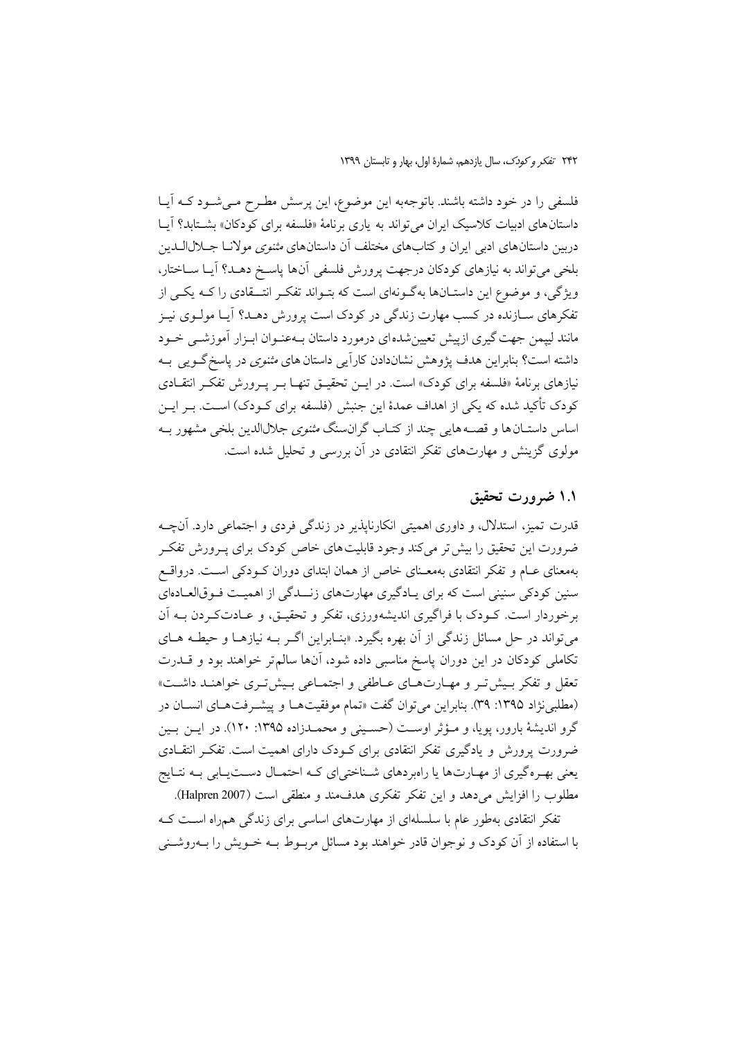فلسفی را در خود داشته باشند. باتوجهبه این موضوع، این پرسش مطـرح مـیشـود کـه آیـا داستان های ادبیات کلاسیک ایران میتواند به یاری برنامهٔ «فلسفه برای کودکان» بشــتابد؟ آیــا دربین داستانهای ادبی ایران و کتابهای مختلف آن داستانهای *مثنوی مولان*ا جــلالاالــدین بلخی میتواند به نیازهای کودکان درجهت پرورش فلسفی آنها پاسخ دهـد؟ آیـا سـاختار، ویژگی، و موضوع این داستـانها بهگـونهای است که بتـواند تفکـر انتــقادی را کــه یکــی از تفکرهای سـازنده در کسب مهارت زندگی در کودک است پرورش دهــد؟ آیـا مولــوی نیــز مانند لییمن جهت گیری ازییش تعیین شدهای درمورد داستان بـهعنـوان ابـزار آموزشــی خــود داشته است؟ بنابراین هدف پژوهش نشاندادن کارآیی داستان های *مثنوی* در پاسخ گــویی بــه نیازهای برنامهٔ «فلسفه برای کودک» است. در ایــن تحقیــق تنهــا بــر پــرورش تفکــر انتقــادی كودك تأكيد شده كه يكي از اهداف عمدهٔ اين جنبش (فلسفه براي كـودك) اسـت. بـر ايـن اساس داستـان ها و قصــه هایی چند از کتــاب گران.سنگ *مثنوی ج*لالالدین بلخی مشهور بــه مولوی گزینش و مهارتهای تفکر انتقادی در آن بررسی و تحلیل شده است.

### ۱.۱ ضرورت تحقیق

قدرت تمیز، استدلال، و داوری اهمیتی انکارناپذیر در زندگی فردی و اجتماعی دارد. آنچـه ضرورت این تحقیق را بیش تر می کند وجود قابلیت های خاص کودک برای پـرورش تفکـر بهمعنای عــام و تفکر انتقادی بهمعــنای خاص از همان ابتدای دوران کــودکی اســت. درواقــع سنین کودکی سنینی است که برای پادگیری مهارتهای زنــدگی از اهمیـت فـوقالعـادهای برخوردار است. کـودک با فراگیری اندیشهورزی، تفکر و تحقیـق، و عـادتکـردن بــه آن می تواند در حل مسائل زندگی از آن بهره بگیرد. «بنـابراین اگـر بـه نیازهـا و حیطـه هـای تکاملی کودکان در این دوران پاسخ مناسبی داده شود، آنها سالم تر خواهند بود و قـــدرت تعقل و تفکر بسشتر و مهـارتهـای عـاطفی و اجتمـاعی بـیشتری خواهنـد داشـت» (مطلبي نژاد ١٣٩٥: ٣٩). بنابراين مي توان گفت «تمام موفقيتها و پيشـرفتهـاي انسـان در گرو اندیشهٔ بارور، پویا، و مـؤثر اوسـت (حسـینی و محمـدزاده ۱۳۹۵: ۱۲۰). در ایـن بـین ضرورت پرورش و یادگیری تفکر انتقادی برای کـودک دارای اهمیت است. تفکـر انتقــادی یعنی بهـرهگیری از مهـارتها یا راهبردهای شـناختی|ی کـه احتمـال دسـتیـابی بـه نتـایج مطلوب را افزایش میدهد و این تفکر تفکری هدف.ند و منطقی است (Halpren 2007).

تفکر انتقادی بهطور عام با سلسلهای از مهارتهای اساسی برای زندگی همراه است کـه با استفاده از آن کودک و نوجوان قادر خواهند بود مسائل مربـوط بــه خــویش را بــهروشــنی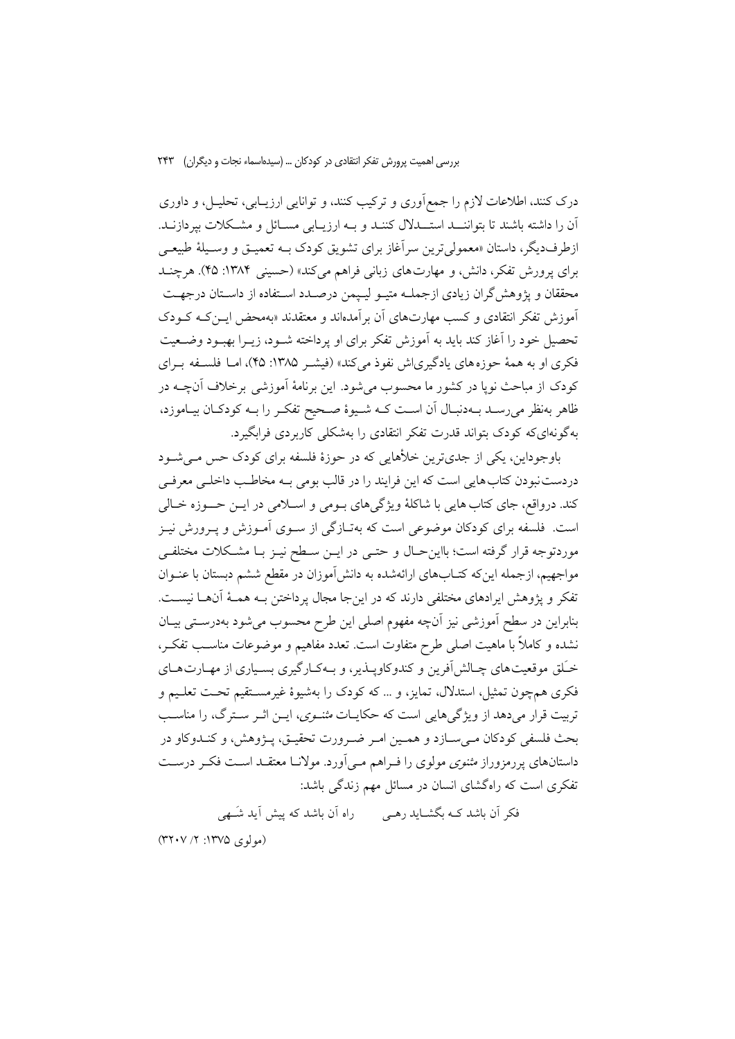درک کنند، اطلاعات لازم را جمعآوری و ترکیب کنند، و توانایی ارزیـابی، تحلیـل، و داوری آن را داشته باشند تا بتوانسـد استـــدلال كننــد و بــه ارزيــابي مســائل و مشــكلات بيردازنــد. ازطرفديگر، داستان «معمولي ترين سرآغاز براي تشويق كودك بــه تعميــق و وســيلهٔ طبيعــي برای پرورش تفکر، دانش، و مهارتهای زبانی فراهم میکند» (حسینی ۱۳۸۴: ۴۵). هرچنــد محققان و يژوهش گران زيادي ازجملـه متيـو ليـيمن درصـدد اسـتفاده از داسـتان درجهـت آموزش تفکر انتقادی و کسب مهارتهای آن بر آمدهاند و معتقدند «بهمحض ایـن کـه کـودک تحصيل خود را آغاز كند بايد به آموزش تفكر براي او يرداخته شــود، زيــرا بهبــود وضــعيت فکری او به همهٔ حوزههای یادگیریاش نفوذ میکند» (فیشـر ۱۳۸۵: ۴۵)، امـا فلسـفه بـرای کودک از مباحث نوپا در کشور ما محسوب میشود. این برنامهٔ آموزشی برخلاف آنچــه در ظاهر بهنظر می رسـد بــهدنبـال آن اسـت کــه شــيوهٔ صــحيح تفکـر را بــه کودکـان بيــاموزد، بهگونهایکه کودک بتواند قدرت تفکر انتقادی را بهشکلی کاربردی فرابگیرد.

باوجوداین، یکی از جدیترین خلأهایی که در حوزهٔ فلسفه برای کودک حس می شـود دردست نبودن کتاب هایی است که این فرایند را در قالب بومی بـه مخاطـب داخلـی معرفـی کند. درواقع، جای کتاب هایی با شاکلهٔ ویژگیهای بـومی و اســلامی در ایــن حـــوزه خــالی است. فلسفه برای کودکان موضوعی است که بهتـازگی از ســوی آمــوزش و پــرورش نيــز موردتوجه قرار گرفته است؛ بااین حـال و حتــی در ایــن ســطح نیــز بــا مشــکلات مختلفــی مواجهیم، ازجمله اینکه کتـابهای ارائهشده به دانش[موزان در مقطع ششم دبستان با عنــوان تفکر و پژوهش ایرادهای مختلفی دارند که در اینجا مجال پرداختن بـه همـهٔ آنهـا نیسـت. بنابراین در سطح آموزشی نیز آنچه مفهوم اصلی این طرح محسوب می شود بهدرستی بیـان نشده و کاملاً با ماهیت اصلی طرح متفاوت است. تعدد مفاهیم و موضوعات مناسـب تفکـر، خـَـلق موقعیتهای چـالش[فرین و کندوکاویــذیر، و بــهکـارگیری بســیاری از مهــارتهــای فکری همچون تمثیل، استدلال، تمایز، و … که کودک را بهشیوهٔ غیرمسـتقیم تحـت تعلـیم و تربیت قرار می دهد از ویژگی هایی است که حکایـات *مثنــوی*، ایــن اثــر ســترگ، را مناســب بحث فلسفي كودكان مـي ســازد و همــين امــر ضــرورت تحقيــق، پــژوهش، و كنــدوكاو در داستانهای پررمزوراز *مثنوی مو*لوی را فـراهم مـی|ورد. مولانـا معتقـد اسـت فکـر درسـت تفکری است که راهگشای انسان در مسائل مهم زندگی باشد:

فکر آن باشد کــه بگشــاید رهــی می راه آن باشد که پیش آید شَــهی (مولوی ۱۳۷۵: ۲/ ۳۲۰۷)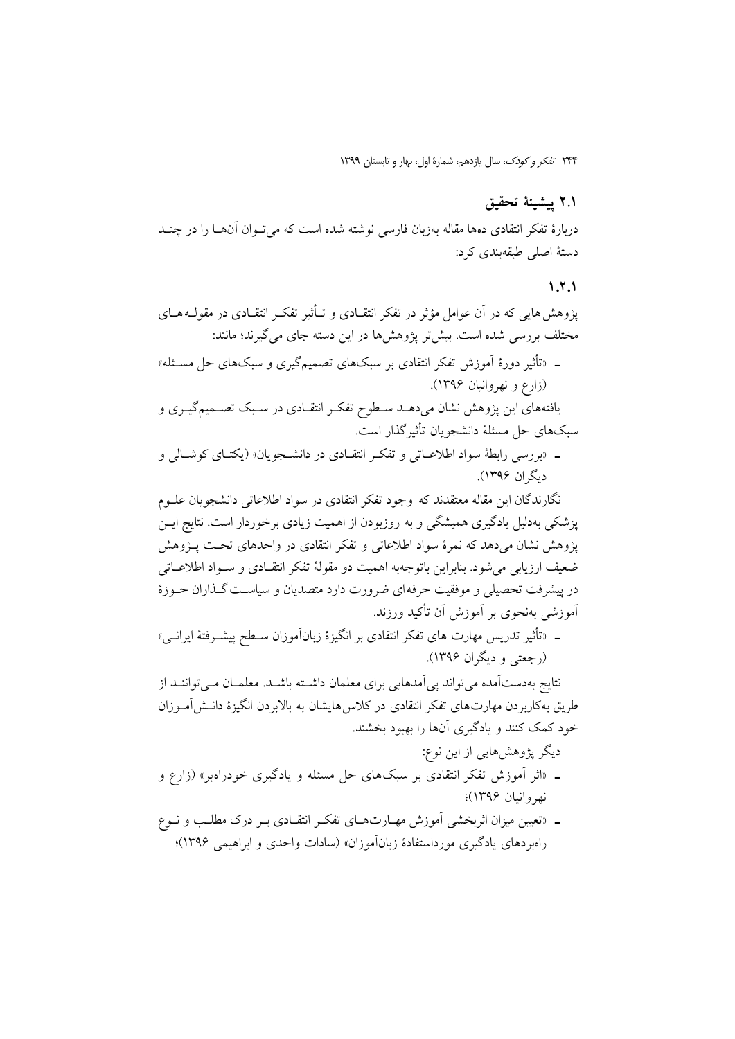### ٢.١ ييشينة تحقيق

دربارهٔ تفکر انتقادی دهها مقاله بهزبان فارسی نوشته شده است که می توان آنها را در چنـد دستهٔ اصلی طبقهبندی کرد:

### $1.7.1$

پژوهش هایی که در آن عوامل مؤثر در تفکر انتقـادی و تــأثیر تفکــر انتقــادی در مقولــه هــای مختلف بررسی شده است. بیش تر پژوهشها در این دسته جای می گیرند؛ مانند: ـ «تأثیر دورهٔ اَموزش تفکر انتقادی بر سبکهای تصمیمگیری و سبکهای حل مسـئله» (زارع و نهروانیان ۱۳۹۶). یافتههای این پژوهش نشان میدهـد سـطوح تفکـر انتقـادی در سـبک تصـمیمگیـری و سبکهای حل مسئلهٔ دانشجویان تأثیر گذار است. ـ «بررسي رابطهٔ سواد اطلاعـاتي و تفكـر انتقـادي در دانشـجويان» (يكتـاي كوشـالي و دیگران ۱۳۹۶). نگارندگان این مقاله معتقدند که وجود تفکر انتقادی در سواد اطلاعاتی دانشجویان علـوم پزشکی بهدلیل یادگیری همیشگی و به روزبودن از اهمیت زیادی برخوردار است. نتایج ایــن پژوهش نشان میدهد که نمرهٔ سواد اطلاعاتی و تفکر انتقادی در واحدهای تحت پـژوهش ضعيف ارزيابي مي شود. بنابراين باتوجهبه اهميت دو مقولهٔ تفکر انتقــادي و ســواد اطلاعــاتـي در پیشرفت تحصیلی و موفقیت حرفه ای ضرورت دارد متصدیان و سیاسـت گـذاران حــوزهٔ أموزشي بهنحوي بر أموزش أن تأكيد ورزند. ـ «تأثير تدريس مهارت هاي تفكر انتقادي بر انگيزهٔ زبانآموزان سـطح پيشــرفتهٔ ايرانــي» (رجعتي و ديگران ۱۳۹۶). نتايج بهدستآمده مي تواند پي آمدهايي براي معلمان داشته باشـد. معلمـان مـي تواننــد از طریق بهکاربردن مهارتهای تفکر انتقادی در کلاس هایشان به بالابردن انگیزهٔ دانــش[مــوزان خود کمک کنند و یادگیری آنها را بهبود بخشند. دیگر پژوهشهایی از این نوع: ـ «اثر أموزش تفکر انتقادی بر سبکهای حل مسئله و یادگیری خودراهبر» (زارع و نهروانيان ۱۳۹۶)؛

ـ «تعیین میزان اثربخشی اَموزش مهـارتهـای تفکـر انتقـادی بـر درک مطلـب و نــوع رامبر دهای یادگیری مورداستفادهٔ زبانآموزان» (سادات واحدی و ابراهیمی ۱۳۹۶)؛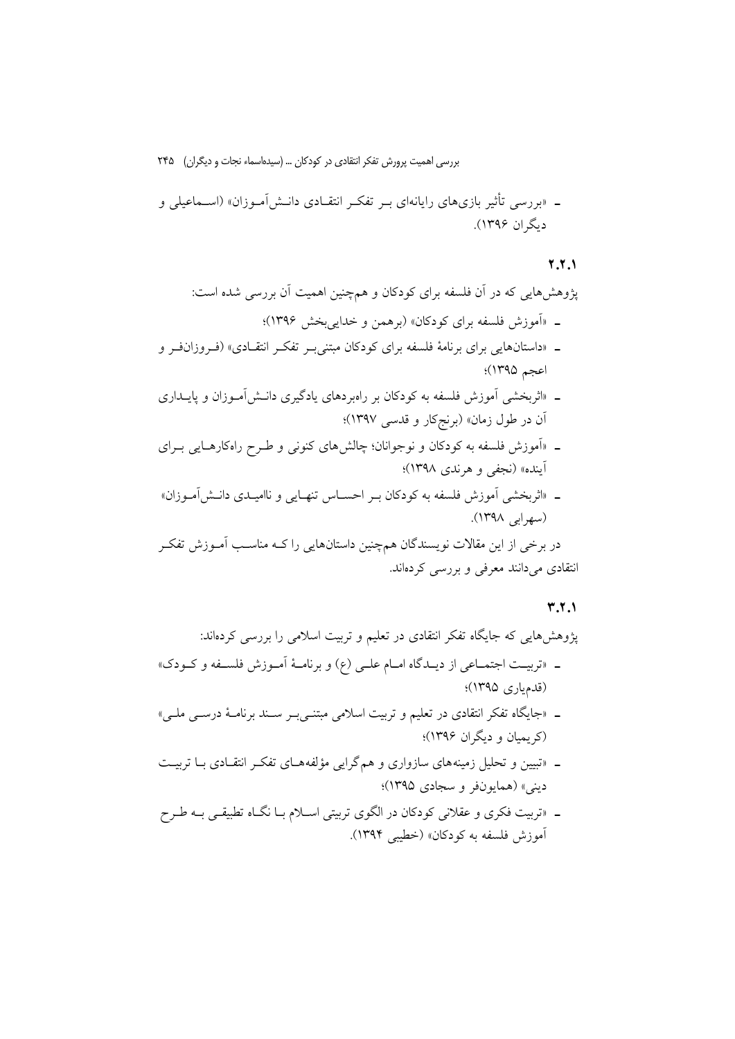ـ «بررسی تأثیر بازیهای رایانهای بـر تفکـر انتقــادی دانــشآمـوزان» (اســماعیلی و دیگران ۱۳۹۶).

### $Y,Y, Y$

یژوهش هایی که در آن فلسفه برای کودکان و همچنین اهمیت آن بررسی شده است: ـ «آموزش فلسفه برای کودکان» (برهمن و خدایی بخش ۱۳۹۶)؛ ـ «داستانهایی برای برنامهٔ فلسفه برای کودکان مبتنی به تفکه انتقادی» (ف وزان ف و اعجم ۱۳۹۵)؛ ـ «اثربخشی اَموزش فلسفه به کودکان بر راهبردهای یادگیری دانـش[مــوزان و پایــداری اَن در طول زمان» (برنجکار و قدسی ۱۳۹۷)؛ ـ «آموزش فلسفه به کودکان و نوجوانان؛ چالش۵ای کنونی و طـرح راهکارهـایی بــرای آينده» (نجفي و هرندي ١٣٩٨)؛ ـ «اثربخشی آموزش فلسفه به کودکان بـر احسـاس تنهـایی و ناامیـدی دانـش[مـوزان» (سهرابی ۱۳۹۸).

در برخی از این مقالات نویسندگان همچنین داستانهایی را کـه مناسـب آمــوزش تفکــر انتقادی میدانند معرفی و بررسی کردهاند.

#### $T.T.1$

پژوهشهایی که جایگاه تفکر انتقادی در تعلیم و تربیت اسلامی را بررسی کردهاند:

- ـ «تربیـت اجتمـاعي از دیـدگاه امـام علــي (ع) و برنامــهٔ اَمـوزش فلســفه و كــودك» (قدمیاری ۱۳۹۵)؛
- ـ «جایگاه تفکر انتقادی در تعلیم و تربیت اسلامی مبتنــیبــر ســند برنامــهٔ درســی ملــی» (کریمیان و دیگران ۱۳۹۶)؛
- ـ «تبیین و تحلیل زمینههای سازواری و همگرایی مؤلفههـای تفکـر انتقـادی بـا تربیـت ديني» (همايونفر و سجادي ١٣٩۵)؛
- ـ «تربیت فکری و عقلانی کودکان در الگوی تربیتی اسـلام بـا نگــاه تطبیقــی بــه طــرح آموزش فلسفه به کودکان» (خطیبی ۱۳۹۴).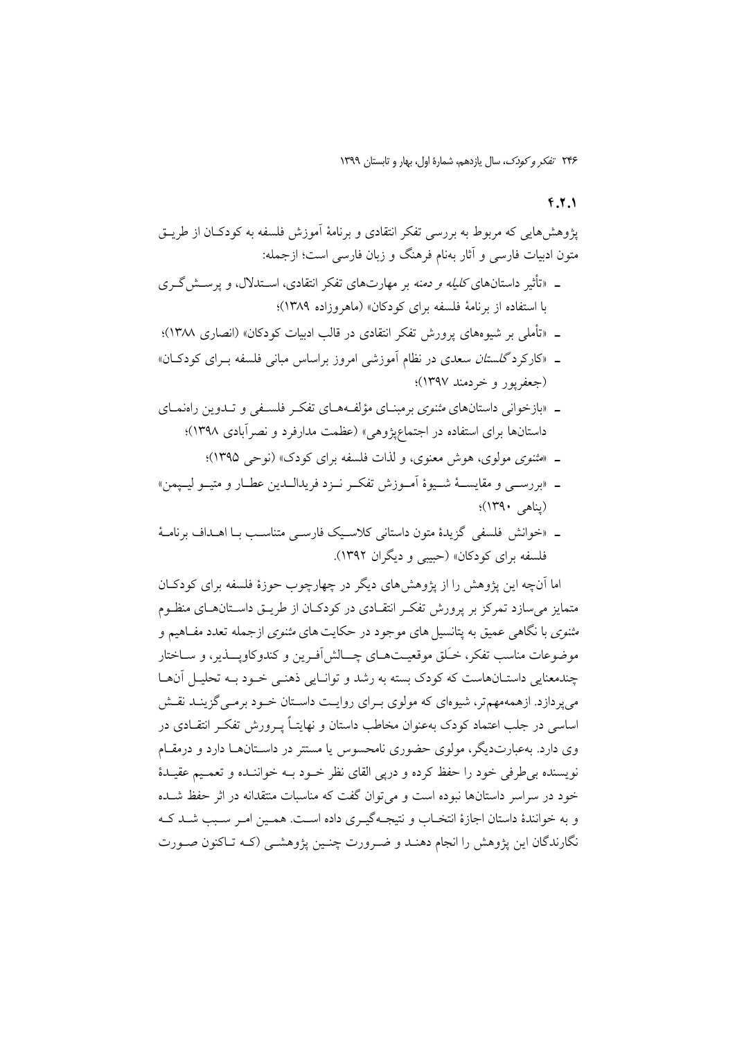### $f.7.1$

پژوهش،ایی که مربوط به بررسی تفکر انتقادی و برنامهٔ آموزش فلسفه به کودکـان از طریــق متون ادبیات فارسی و آثار بهنام فرهنگ و زبان فارسی است؛ ازجمله:

- ـ «تأثیر داستانهای *کلیله و دمنه* بر مهارتهای تفکر انتقادی، اســتدلال، و پرســش گــری با استفاده از برنامهٔ فلسفه برای کودکان» (ماهروزاده ۱۳۸۹)؛
- ـ «تأملي بر شيوههاي يرورش تفكر انتقادي در قالب ادبيات كودكان» (انصاري ١٣٨٨)؛
- ـ «کارکرد *گلستان سعدی در نظام آموزشی امروز بر اساس مبانی فلسفه بـرای کودکـان»* (جعفريور وخردمند ١٣٩٧)؛
- ـ «بازخوانی داستانهای *مثنوی* برمبنـای مؤلفـههـای تفکـر فلسـفی و تــدوین راهنمـای داستانها برای استفاده در اجتماعپژوهی» (عظمت مدارفرد و نصرآبادی ۱۳۹۸)؛
	- ـ «مثنوی مولوی، هوش معنوی، و لذات فلسفه برای کودک» (نوحی ۱۳۹۵)؛
- ـ «بررســي و مقايســـهٔ شــيوهٔ آمــوزش تفكــر نــزد فريدالــدين عطــار و متيــو ليــپمن» (بناهي ١٣٩٠)؛
- ـ «خوانش فلسفی گزیدهٔ متون داستانی کلاسیک فارسی متناسب بـا اهـداف برنامـهٔ فلسفه برای کودکان» (حسبی و دیگران ۱۳۹۲).

اما آنچه این یژوهش را از پژوهش های دیگر در چهارچوب حوزهٔ فلسفه برای کودکـان متمایز می سازد تمرکز بر پرورش تفک انتقـادی در کودکـان از طریــق داســتانهــای منظـوم *مثنوی* با نگاهی عمیق به پتانسیل های موجود در حکایت های *مثنوی* ازجمله تعدد مفــاهیم و موضوعات مناسب تفكر، خـَـلق موقعيــتـهــاي چـــالش أفـرين و كندوكاويـــذير، و ســاختار چندمعنایی داستـانهاست که کودک بسته به رشد و توانـایی ذهنـی خـود بـه تحليـل آنهـا می یر دازد. ازهمه مهم تر، شیوهای که مولوی به ای روایت داستان خــود برمــی گزینــد نقــش اساسی در جلب اعتماد کودک بهعنوان مخاطب داستان و نهایتـاً پــرورش تفکــر انتقــادی در وی دارد. پهعبارتدیگر، مولوی حضوری نامحسوس یا مستتر در داسـتانهـا دارد و درمقـام نویسنده بی طرفی خود را حفظ کرده و دریی القای نظر خـود بــه خواننــده و تعمـیم عقیــدهٔ خود در سراسر داستانها نبوده است و می توان گفت که مناسبات منتقدانه در اثر حفظ شـده و به خوانندهٔ داستان اجازهٔ انتخباب و نتیجیهگیری داده است. همین امیر سبب شید کیه نگارندگان این پژوهش را انجام دهنـد و ضـرورت چنـین پژوهشـبی (کــه تــاکنون صــورت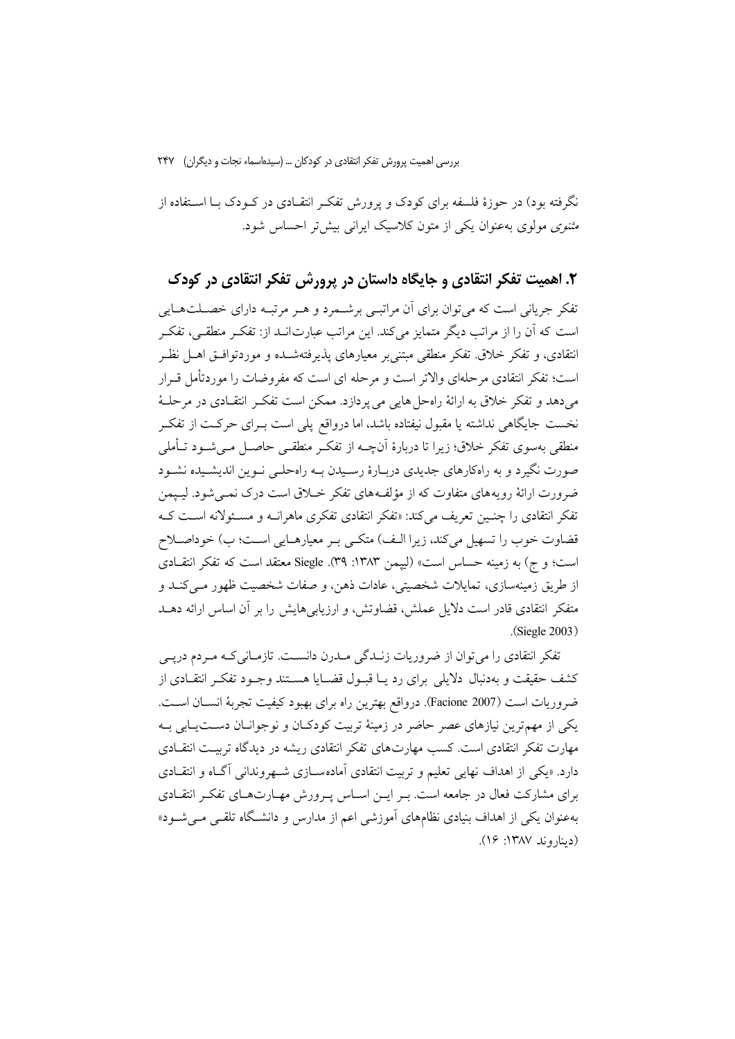نگرفته بود) در حوزهٔ فلسفه برای کودک و پرورش تفکـر انتقــادی در کــودک بــا اســتفاده از *مثنوی مولوی بهعنوان یکی از متون کلاسیک ایرانی بیش تر احساس شو*د.

۲. اهمیت تفکر انتقادی و جایگاه داستان در پرورش تفکر انتقادی در کودک

تفکر جریانی است که میتوان برای آن مراتبـی برشـمرد و هـر مرتبـه دارای خصـلتهـایی است که آن را از مراتب دیگر متمایز میکند. این مراتب عبارتانـد از: تفکـر منطقـی، تفکـر انتقادی، و تفکر خلاق تفکر منطقی مبتنی بر معیارهای پذیرفتهشــده و موردتوافــق اهــل نظــر است؛ تفکر انتقادی مرحلهای والاتر است و مرحله ای است که مفروضات را موردتأمل قـرار می دهد و تفکر خلاق به ارائهٔ راهحل هایی می پردازد. ممکن است تفکر انتقـادی در مرحلـهٔ نخست جایگاهی نداشته یا مقبول نیفتاده باشد، اما درواقع پلی است بـرای حرکـت از تفکـر منطقی بهسوی تفکر خلاق؛ زیرا تا دربارهٔ آنچــه از تفکـر منطقــی حاصــل مــی شــود تــأملی صورت نگیرد و به راهکارهای جدیدی دربـارهٔ رسـیدن بـه راهحلـی نـوین اندیشـیده نشـود ضرورت ارائهٔ رو به های متفاوت که از مؤلفـههای تفکر خــلاق است درک نمــی شود. لیــیمن تفکر انتقادی را چنـیـن تعریف میکند: «تفکر انتقادی تفکری ماهرانــه و مسـئولانه اسـت کــه قضاوت خوب را تسهيل مي كند، زيرا الـف) متكـي بـر معيارهـايي اسـت؛ ب) خوداصـلاح است؛ و ج) به زمینه حساس است» (لیپمن ۱۳۸۳: ۳۹). Siegle معتقد است که تفکر انتقــادی از طريق زمينهسازي، تمايلات شخصيتي، عادات ذهن، و صفات شخصيت ظهور مـي كنــد و متفکر انتقادی قادر است دلایل عملش، قضاوتش، و ارزیابی هایش را بر آن اساس ارائه دهــد (Siegle 2003).

تفکر انتقادی را میتوان از ضروریات زنـدگی مـدرن دانسـت. تازمـانیکـه مـردم درپـی كشف حقيقت و بهدنبال دلايلي براي رد يـا قبـول قضـايا هسـتند وجـود تفكـر انتقـادي از ضروريات است (Facione 2007). درواقع بهترين راه براي بهبود كيفيت تجربة انســان اســت. یکی از مهمترین نیازهای عصر حاضر در زمینهٔ تربیت کودکـان و نوجوانـان دســتپـابی بـه مهارت تفکر انتقادی است. کسب مهارتهای تفکر انتقادی ریشه در دیدگاه تربیـت انتقــادی دارد. «یکی از اهداف نهایی تعلیم و تربیت انتقادی آمادهسـازی شـهروندانی آگـاه و انتقـادی برای مشارکت فعال در جامعه است. بـر ایـن اسـاس پـرورش مهـارتهـای تفکـر انتقـادی بهعنوان یکی از اهداف بنیادی نظامهای آموزشی اعم از مدارس و دانشگاه تلقبی مـی.شــود» (ديناروند ١٣٨٧: ١۶).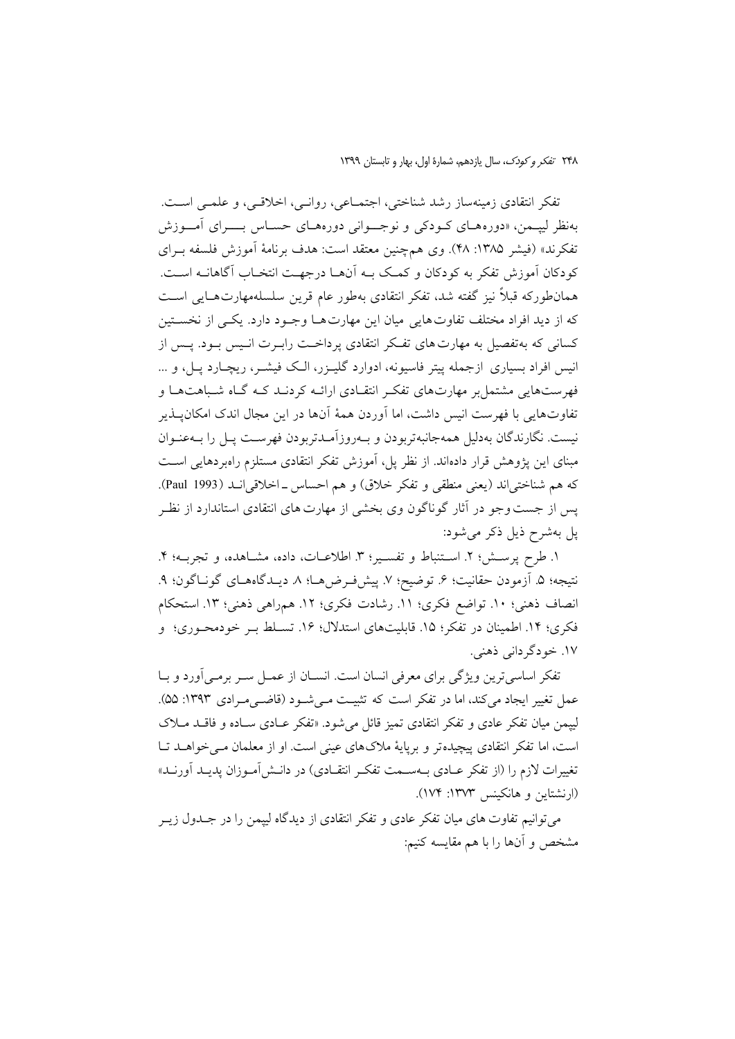تفكر انتقادي زمينهساز رشد شناختي، اجتمــاعي، روانــي، اخلاقــي، و علمــي اســت. بهنظر لیپـمن، «دورههـای کـودکی و نوجــوانی دورههـای حسـاس بــــرای آمـــوزش تفكرند» (فيشر ١٣٨٥: ٢٨). وي همچنين معتقد است: هدف برنامهٔ أموزش فلسفه بـراي كودكان آموزش تفكر به كودكان و كمـك بــه آنهــا درجهــت انتخــاب آگاهانــه اســت. همانطورکه قبلاً نیز گفته شد، تفکر انتقادی بهطور عام قرین سلسلهمهارتهـایی اسـت که از دید افراد مختلف تفاوت هایی میان این مهارت هـا وجـود دارد. یکـی از نخسـتین کسانی که بهتفصیل به مهارت های تفکر انتقادی یرداخـت رابـرت انـیس بـود. پــس از انیس افراد بسیاری ازجمله پیتر فاسپونه، ادوارد گلیـزر، الـک فیشـر، ریچـارد یـل، و … فهرستهایی مشتمل بر مهارتهای تفکر انتقـادی ارائـه کردنـد کـه گـاه شـباهتهـا و تفاوتهایی با فهرست انیس داشت، اما آوردن همهٔ آنها در این مجال اندک امکانپــذیر نیست. نگارندگان بهدلیل همهجانبهتربودن و بـهروزآمـدتربودن فهرسـت پـل را بـهعنـوان مبنای این پژوهش قرار دادهاند. از نظر پل، آموزش تفکر انتقادی مستلزم راهبردهایی است كه هم شناختي اند (يعني منطقي و تفكر خلاق) و هم احساس \_ اخلاقي انـد (1993 Paul). یس از جست وجو در آثار گوناگون وی بخشی از مهارت های انتقادی استاندارد از نظـر یل بهشرح ذیل ذکر می شود:

١. طرح پرسش؛ ٢. استنباط و تفسير؛ ٣. اطلاعـات، داده، مشـاهده، و تجربـه؛ ۴. نتيجه؛ ۵. آزمودن حقانيت؛ ۶. توضيح؛ ۷. پيشفرضرهـا؛ ۸. ديــدگاههـای گونــاگون؛ ۹. انصاف ذهني؛ ١٠. تواضع فكرى؛ ١١. رشادت فكرى؛ ١٢. همراهي ذهني؛ ١٣. استحكام فکری؛ ۱۴. اطمینان در تفکر؛ ۱۵. قابلیتهای استدلال؛ ۱۶. تسـلط بـر خودمحـوری؛ و ۱۷. خو دگر دانی ذهنی.

تفکر اساسی ترین ویژگی برای معرفی انسان است. انســان از عمــل ســر برمــی آورد و بــا عمل تغییر ایجاد می کند، اما در تفکر است که تثبیت مـی شـود (قاضـی مـرادی ۱۳۹۳: ۵۵). لييمن ميان تفكر عادي و تفكر انتقادي تميز قائل مي شود. «تفكر عـادي سـاده و فاقـلـ مــلاك است، اما تفکر انتقادی پیچیده تر و برپایهٔ ملاکهای عینی است. او از معلمان مبی خواهـد تـا تغییرات لازم را (از تفکر عـادی بــهســمت تفکــر انتقــادی) در دانــش[مــوزان پدیــد آورنــد» (ارنشتاین و هانکینس ۱۳۷۳: ۱۷۴).

می توانیم تفاوت های میان تفکر عادی و تفکر انتقادی از دیدگاه لییمن را در جــدول زیــر مشخص و آنها را با هم مقايسه كنيم: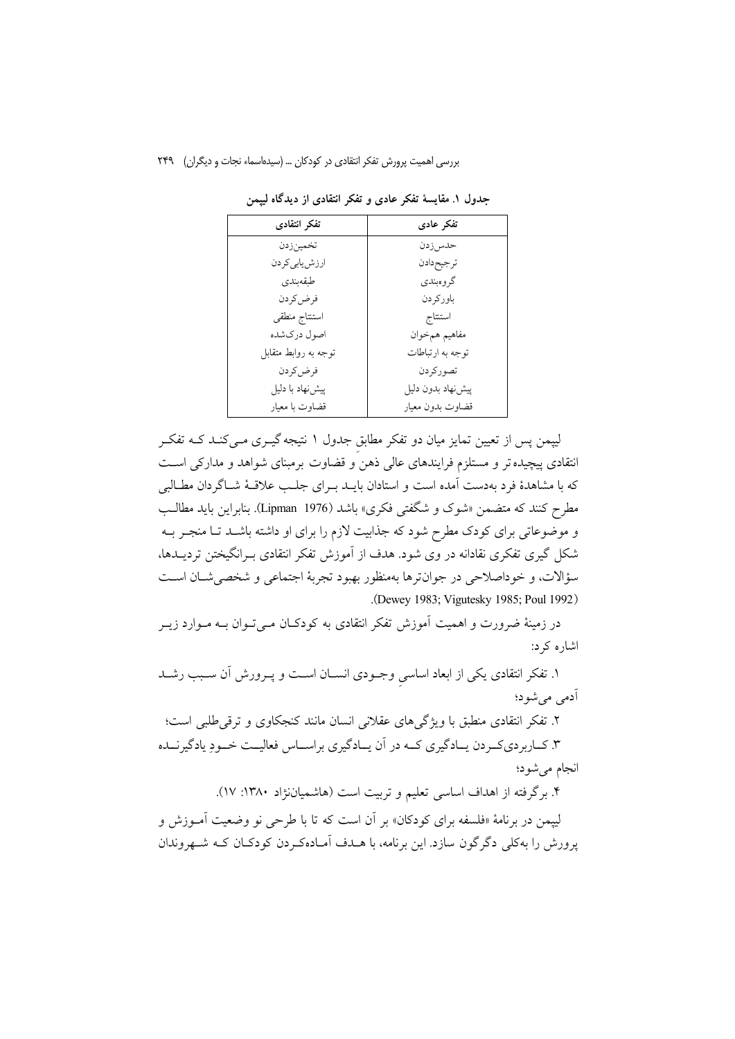| تفكر انتقادى           | تفكر عادى         |
|------------------------|-------------------|
| تخمينزدن               | حدس زدن           |
| ارزش یاب <i>ی</i> کردن | ترجيحدادن         |
| طبقەبندى               | گروهېندي          |
| فرض كردن               | باورکر دن         |
| استنتاج منطقى          | استنتاج           |
| اصول دركشده            | مفاهيم همخوان     |
| توجه به روابط متقابل   | توجه به ارتباطات  |
| فرض كردن               | تصوركردن          |
| پیش نهاد با دلیل       | پیشنهاد بدون دلیل |
| قضاوت با معيار         | قضاوت بدون معيار  |

جدول ١. مقايسهٔ تفکر عادي و تفکر انتقادي از ديدگاه لييمن

لیپمن پس از تعیین تمایز میان دو تفکر مطابق جدول ۱ نتیجه گیــری مــیکنــد کــه تفکــر انتقادی پیچیده تر و مستلزم فرایندهای عالی ذهن و قضاوت برمبنای شواهد و مدارکی است که با مشاهدهٔ فرد بهدست آمده است و استادان بایــد بــرای جلــب علاقــهٔ شــاگردان مطــالبـی مطرح كنند كه متضمن «شوك و شگفتى فكرى» باشد (Lipman 1976). بنابراين بايد مطالـب و موضوعاتی برای کودک مطرح شود که جذابیت لازم را برای او داشته باشـد تـا منجـر بــه شکل گیری تفکری نقادانه در وی شود. هدف از آموزش تفکر انتقادی بـرانگیختن تردیــدها، سؤالات، و خوداصلاحي در جوانترها بهمنظور بهبود تجربهٔ اجتماعي و شخصي شــان اســت .(Dewey 1983; Vigutesky 1985; Poul 1992)

در زمینهٔ ضرورت و اهمیت اَموزش تفکر انتقادی به کودکـان مــیتــوان بــه مــوارد زیــر اشاره کړ د:

۱. تفکر انتقادی یکی از ابعاد اساسی وجـودی انســان اســت و پــرورش اَن ســبب رشــد آدمی می شو د؛

۲. تفکر انتقادی منطبق با ویژگی های عقلانی انسان مانند کنجکاوی و ترقی طلبی است؛ ۳. کــاربرديکــردن يــادگيري کــه در اَن يــادگيري براســاس فعاليــت خــودِ يادگيرنــده انجام مي شود؛

۴. برگرفته از اهداف اساسی تعلیم و تربیت است (هاشمیاننژاد ۱۳۸۰: ۱۷).

لپیمن در برنامهٔ «فلسفه برای کودکان» بر آن است که تا با طرحی نو وضعیت آمــوزش و یرورش را بهکلی دگر گون سازد. این برنامه، با هــدف آمــادهکـردن کودکــان کــه شــهروندان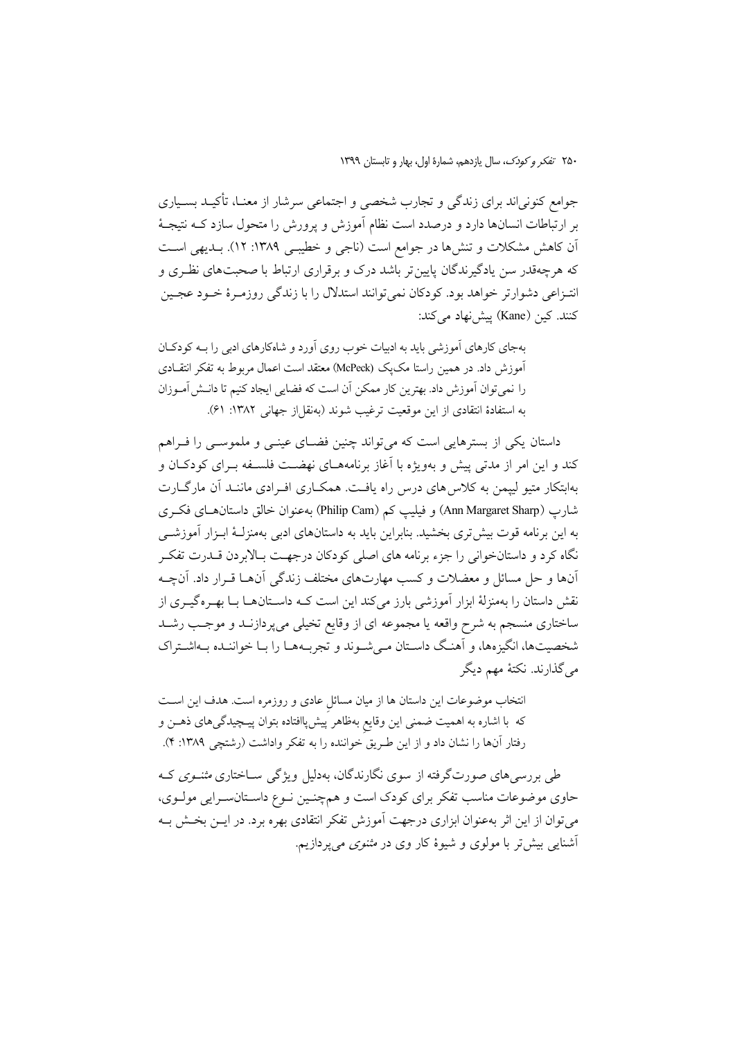جوامع کنونی|ند برای زندگی و تجارب شخصی و اجتماعی سرشار از معنـا، تأکیــد بســیاری بر ارتباطات انسانها دارد و درصدد است نظام آموزش و پرورش را متحول سازد کـه نتیجـهٔ آن کاهش مشکلات و تنش۵ا در جوامع است (ناجی و خطیبـی ۱۳۸۹: ۱۲). بــدیهی اســت که هرچهقدر سن یادگیرندگان پایین تر باشد درک و برقراری ارتباط با صحبتهای نظـری و انتـزاعي دشوارتر خواهد بود. كودكان نمي توانند استدلال را با زندگي روزمـرهٔ خـود عجـين كنند. كين (Kane) پيشنهاد ميكند:

بهجای کارهای آموزشی باید به ادبیات خوب روی آورد و شاهکارهای ادبی را بـه کودکـان آموزش داد. در همین راستا مکپک (McPeck) معتقد است اعمال مربوط به تفکر انتقـادی را نمي توان آموزش داد. بهترين كار ممكن آن است كه فضايي ايجاد كنيم تا دانـش آمـوزان به استفادة انتقادى از اين موقعيت ترغيب شوند (بهنقل|ز جهاني ١٣٨٢: ٤١).

داستان یکی از بسترهایی است که میتواند چنین فضـای عینـی و ملموسـی را فـراهم کند و این امر از مدتی پیش و بهویژه با اَغاز برنامههـای نهضــت فلســفه بــرای کودکــان و بهابتکار متیو لیپمن به کلاس های درس راه یافت. همکـاری افـرادی ماننـد آن مارگــارت شارپ (Ann Margaret Sharp) و فیلیپ کم (Philip Cam) به عنوان خالق داستان هـای فکـری به این برنامه قوت بیش تری بخشید. بنابراین باید به داستانهای ادبی بهمنزلـهٔ ابـزار آموزشــی نگاه کرد و داستانخوانی را جزء برنامه های اصلی کودکان درجهـت بـالابردن قــدرت تفکـر آنها و حل مسائل و معضلات و کسب مهارتهای مختلف زندگی آنهـا قـرار داد. آنچـه نقش داستان را بهمنزلهٔ ابزار آموزشی بارز میکند این است کـه داســتانهــا بــا بهــرهگیــری از ساختاری منسجم به شرح واقعه یا مجموعه ای از وقایع تخیلی میپردازنــد و موجــب رشــد شخصیتها، انگیزهها، و آهنگ داستان مـی شـوند و تجربـههـا را بـا خواننـده بـهاشـتراک مي گذارند. نکتهٔ مهم ديگر

انتخاب موضوعات این داستان ها از میان مسائل عادی و روزمره است. هدف این است که با اشاره به اهمیت ضممنی این وقایع بهظاهر پیش پاافتاده بتوان پیـچیدگیهای ذهـن و رفتار آنها را نشان داد و از این طریق خواننده را به تفکر واداشت (رشتچی ۱۳۸۹: ۴).

طی بررسی های صورتگرفته از سوی نگارندگان، بهدلیل ویژگی ســاختاری *مثنــوی* کــه حاوی موضوعات مناسب تفکر برای کودک است و همچنـین نـوع داسـتانسـرایی مولـوی، می توان از این اثر بهعنوان ابزاری درجهت آموزش تفکر انتقادی بهره برد. در ایــن بخــش بــه آشنایی پیش تر یا مولوی و شیوهٔ کار وی در *مثنوی می ی*ردازیم.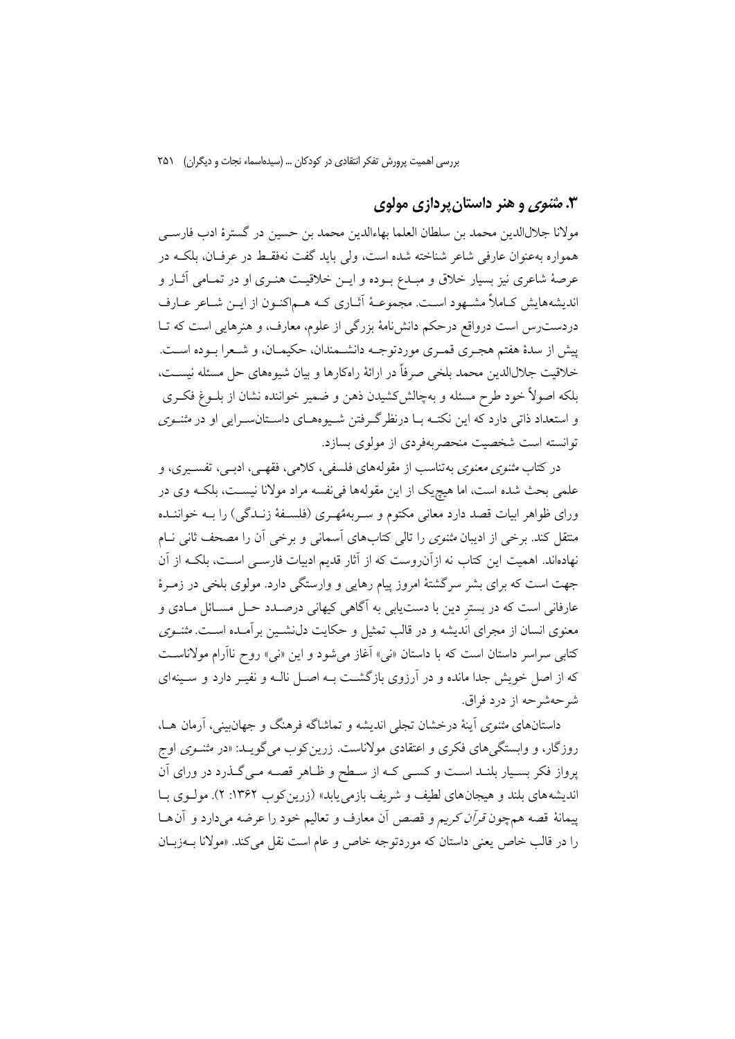## ۰۳ *مثنوی* و هنر داستان پردازی مولوی

مولانا جلالاللدين محمد بن سلطان العلما بهاءالدين محمد بن حسين در گسترهٔ ادب فارسـي همواره بهعنوان عارفی شاعر شناخته شده است، ولی باید گفت نهفقـط در عرفـان، بلکـه در عرصهٔ شاعری نیز بسیار خلاق و مبـدع بـوده و ایــن خلاقیــت هنــری او در تمــامی آثــار و اندیشههایش کـاملاً مشـهود اسـت. مجموعـهٔ آثـاری کـه هـماکنـون از ایـن شـاعر عـارف دردست٫س است درواقع درحکم دانشiامهٔ بزرگی از علوم، معارف، و هنرهایی است که تــا پیش از سدهٔ هفتم هجـري قمـري موردتوجـه دانشـمندان، حکيمـان، و شـعرا بـوده اسـت. خلاقيت جلالالدين محمد بلخي صرفاً در ارائهٔ راهكارها و بيان شيوههاي حل مسئله نيسـت، بلکه اصولاً خود طرح مسئله و بهچالشکشیدن ذهن و ضمیر خواننده نشان از بلـوغ فکـری و استعداد ذاتی دارد که این نکتـه بـا درنظرگـرفتن شـیوههـای داسـتانسـرایی او در *مثنـوی* توانسته است شخصیت منحصربهفردی از مولوی بسازد.

در کتاب *مثنوی معنوی ب*هتناسب از مقولههای فلسفی، کلامی، فقهـی، ادبــی، تفســیری، و علمي بحث شده است، اما هيچيک از اين مقولهها في نفسه مراد مولانا نيسـت، بلکـه وي در ورای ظواهر ابیات قصد دارد معانی مکتوم و سـربههُهـری (فلسـفهٔ زنـدگی) را بـه خواننـده منتقل کند. برخی از ادیبان *مثنوی* را تالی کتابهای آسمانی و برخی آن را مصحف ثانی نـام نهادهاند. اهمیت این کتاب نه ازآن(وست که از آثار قدیم ادبیات فارسـی اسـت، بلکــه از آن جهت است که برای بشر سرگشتهٔ امروز پیام رهایی و وارستگی دارد. مولوی بلخی در زمـرهٔ عارفانی است که در بستر دین با دستیابی به آگاهی کیهانی درصـدد حـل مسـائل مـادی و معنوی انسان از مجرای اندیشه و در قالب تمثیل و حکایت دل نشـین برآمـده اسـت. *مثنــوی* کتابی سراسر داستان است که با داستان «نبي» آغاز می شود و این «نبي» روح ناآرام مولاناسـت که از اصل خویش جدا مانده و در آرزوی بازگشت بـه اصـل نالـه و نفیـر دارد و سـینهای شرحهشرحه از درد فراق.

داستانهای *مثنوی* آینهٔ درخشان تجل<sub>ی</sub> اندیشه و تماشاگه فرهنگ و جهانبینی، آرمان هــا، روزگار، و وابستگی های فکری و اعتقادی مولاناست. زرین کوب می گویــد: «در *مثنــوی* اوج پرواز فکر بسـیار بلنـد اسـت و کسـی کـه از سـطح و ظـاهر قصـه مـیگـذرد در ورای آن اندیشههای بلند و هیجانهای لطیف و شریف بازمی یابد» (زرین کوب ۱۳۶۲: ۲). مولـوی بـا پیمانهٔ قصه همچون *قرآن کریم و قصص* آن معارف و تعالیم خود را عرضه میدارد و آن هـا را در قالب خاص یعنی داستان که موردتوجه خاص و عام است نقل می کند. «مولانا ب1زبـان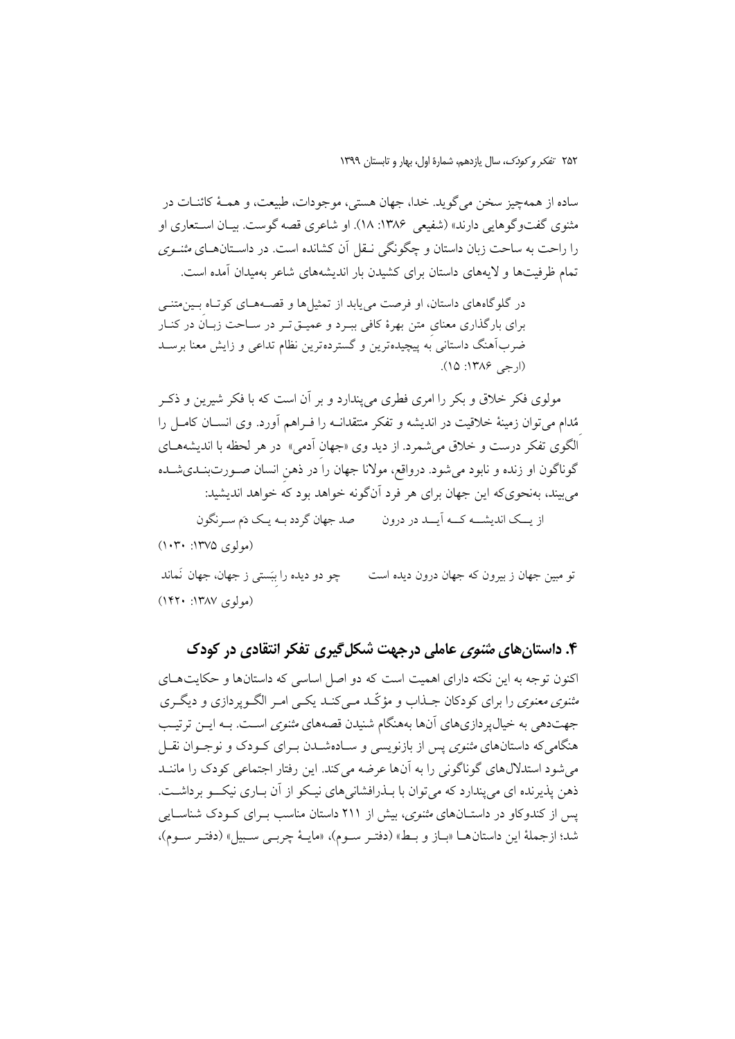ساده از همهچیز سخن می گوید. خدا، جهان هستی، موجودات، طبیعت، و همـهٔ کائنـات در مثنوي گفتوگوهايي دارند» (شفيعي ١٣٨۶: ١٨). او شاعري قصه گوست. بيـان اسـتعاري او را راحت به ساحت زبان داستان و چگونگی نــقل اَن کشانده است. در داســتانهــای *مثنــوی* تمام ظرفیتها و لایههای داستان برای کشیدن بار اندیشههای شاعر بهمیدان آمده است.

در گلوگاههای داستان، او فرصت می پابد از تمثیلها و قصـههـای کوتـاه بـینمتنـی برای بارگذاری معنای متن بهرهٔ کافی ببـرد و عمیـق تـر در سـاحت زبـان در کنـار ضربآهنگ داستانی به پیچیدهترین و گستردهترین نظام تداعی و زایش معنا برسـد  $(10.117A9, -1)$ 

مولوی فکر خلاق و بکر را امری فطری می پندارد و بر آن است که با فکر شیرین و ذکـر مُدام می توان زمینهٔ خلاقیت در اندیشه و تفکر منتقدانــه را فــراهـم آورد. وی انســان کامــل را الگوی تفکر درست و خلاق می شمرد. از دید وی «جهان آدمی» در هر لحظه با اندیشههای گوناگون او زنده و نابود میشود. درواقع، مولانا جهان را در ذهن انسان صـورتبنــدیشــده می بیند، بهنحوی که این جهان برای هر فرد آن گونه خواهد بود که خواهد اندیشید:

از یــک اندیشـــه کـــه اَیـــد در درون مـــــــ صد جهان گردد بــه یـک دَم ســرنگون  $(1 \cdot Y \cdot )YVQ \in L_{\mathfrak{so}}$ 

چو دو دیده را ببَستی ز جهان، جهان نَماند ته مسن جهان ز بیرون که جهان درون دیده است  $(141 \cdot 141)$  (مولوی)

### ۴. داستان های م*تنوی* عاملی درجهت شکل گیری تفکر انتقادی در کودک

اکنون توجه به این نکته دارای اهمیت است که دو اصل اساسی که داستانها و حکایتهـای م*ثنوی معنوی* را برای کودکان جــذاب و مؤکّــد مــی کنــد یکــی امــر الگــویردازی و دیگــری جهتدهی به خیال پر دازیهای آنها بههنگام شنیدن قصههای *مثنوی* اسـت. بــه ایــن ترتیـب هنگامیکه داستانهای *مثنوی* پس از بازنویسی و سـادهشــدن بــرای کــودک و نوجــوان نقــل می شود استدلال های گوناگونی را به آنها عرضه می کند. این رفتار اجتماعی کودک را ماننـد ذهن پذيرنده اي مي پندارد كه مي توان با بـذرافشاني هاي نيـكو از آن بـاري نيكـــو برداشــت. یس از کندوکاو در داستـانهای *مثنوی*، بیش از ۲۱۱ داستان مناسب بـرای کـودک شناسـایی شد؛ ازجملهٔ این داستان هـا «بـاز و بـط» (دفتـر سـوم)، «مایـهٔ چربـی سـبیل» (دفتـر سـوم)،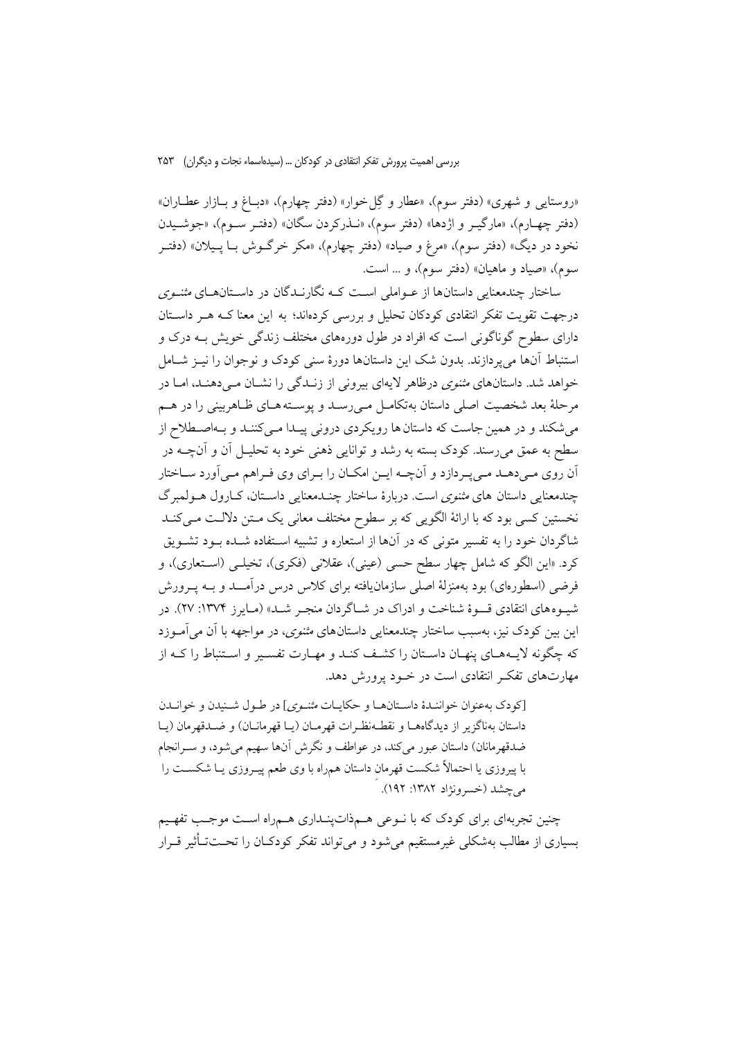«روستایی و شهری» (دفتر سوم)، «عطار و گِل خوار» (دفتر چهارم)، «دبـاغ و بــازار عطــاران» (دفتر چهارم)، «مارگیـر و اژدها» (دفتر سوم)، «نــذرکردن سگان» (دفتـر ســوم)، «جوشــیدن نخود در دیگ» (دفتر سوم)، «مرغ و صیاد» (دفتر چهارم)، «مکر خرگــوش بــا پــیلان» (دفتــر سوم)، «صياد و ماهيان» (دفتر سوم)، و ... است.

ساختار چندمعنایی داستانها از عـواملی اسـت کـه نگارنـدگان در داسـتانهـای *مثنـوی* درجهت تقویت تفکر انتقادی کودکان تحلیل و بررسی کردهاند؛ به این معنا کـه هـر داسـتان دارای سطوح گوناگونی است که افراد در طول دورههای مختلف زندگی خویش بـه درک و استنباط آنها می یردازند. بدون شک این داستانها دورهٔ سنی کودک و نوجوان را نیــز شــامل خواهد شد. داستانهای *مثنوی* درظاهر لایهای بیرونی از زنـدگی را نشـان مـیدهنـد، امـا در مرحلهٔ بعد شخصیت اصلی داستان بهتکامـل مـی(سـد و پوسـته هـای ظـاهربینی را در هــم می شکند و در همین جاست که داستان ها رویکردی درونی پیـدا مـیکننـد و بـهاصـطلاح از سطح به عمق میرسند. کودک بسته به رشد و توانایی ذهنی خود به تحلیــل آن و آنچــه در اّن روی مـی دهــد مــی پــر دازد و اَنچــه ایــن امکــان را بــرای وی فــراهم مــی اَورد ســاختار چندمعنایی داستان های *مثنوی است. دربارهٔ ساختار چن*ـدمعنایی داسـتان، کـارول هــولمبرگ نخستین کسی بود که با ارائهٔ الگویی که بر سطوح مختلف معانی یک مـتن دلالـت مـی کنـد شاگردان خود را به تفسیر متونی که در آنها از استعاره و تشبیه اسـتفاده شــده بــود تشــویق کرد. «این الگو که شامل چهار سطح حسی (عینی)، عقلانی (فکری)، تخیلـی (اسـتعاری)، و فرضي (اسطورهاي) بود بهمنزلهٔ اصلي سازمانيافته براي كلاس درس درآمـــد و بــه يــرورش شیـوههای انتقادی قــوهٔ شناخت و ادراک در شــاگردان منجـر شــد» (مـایرز ۱۳۷۴: ۲۷). در این بین کودک نیز، بهسبب ساختار چندمعنایی داستانهای *مثنوی*، در مواجهه با آن می آمـوزد که چگونه لایـههـای پنهـان داسـتان را کشـف کنـد و مهـارت تفسـیر و اسـتنباط را کـه از مهارتهای تفکر انتقادی است در خـود پرورش دهد.

[كودك بهعنوان خواننـدۀ داسـتانهـا و حكايـات *مثنـوى*] در طـول شـنيدن و خوانـدن داستان بهناگزیر از دیدگاههـا و نقطـهنظـرات قهرمـان (یـا قهرمانـان) و ضـدقهرمان (یـا ضدقهرمانان) داستان عبور میکند، در عواطف و نگرش آنها سهیم میشود، و سـرانجام با پیروزی یا احتمالاً شکست قهرمان داستان همراه با وی طعم پیـروزی یــا شکســت را مي چشد (خسرونژاد ۱۳۸۲: ۱۹۲).

چنین تجربهای برای کودک که با نوعی هـمذاتپنـداری هـمراه اسـت موجـب تفهـیم بسیاری از مطالب بهشکلی غیرمستقیم میشود و می تواند تفکر کودکـان را تحــتـتـأثیر قــرار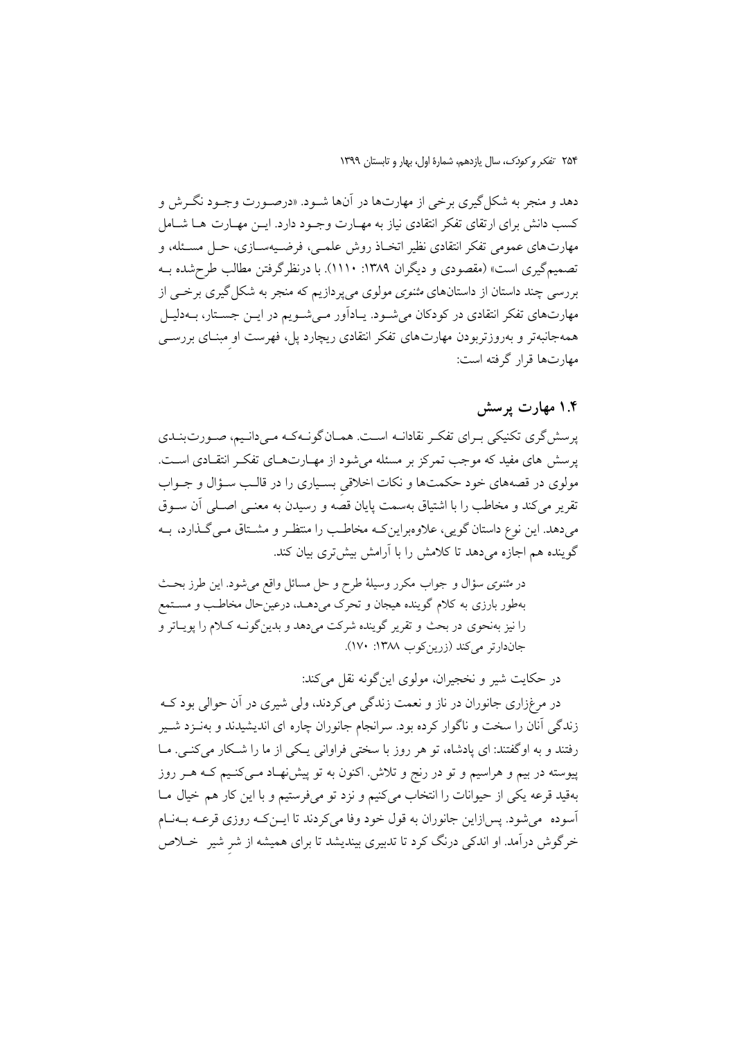دهد و منجر به شکل گیری برخی از مهارتها در آنها شـود. «درصـورت وجـود نگـرش و کسب دانش برای ارتقای تفکر انتقادی نیاز به مهــارت وجــود دارد. ایــن مهــارت هــا شــامل مهارتهای عمومی تفکر انتقادی نظیر اتخـاذ روش علمـی، فرضـیهسـازی، حـل مسـئله، و تصمیم گیری است» (مقصودی و دیگران ۱۳۸۹: ۱۱۱۰). با درنظر گرفتن مطالب طرح شده بـه بررسی چند داستان از داستانهای *مثنوی مولوی می پردازیم که منجر به شکل گیری برخیی* از مهارتهای تفکر انتقادی در کودکان میشود. یـادآور مـیشـویم در ایـن جسـتار، بـهدلیـل همهجانبهتر و بهروزتربودن مهارتهای تفکر انتقادی ریچارد پل، فهرست او مبنای بررسـی مهارتها قرار گرفته است:

### ۱.۴ مهارت پرسش

پرسش گری تکنیکی بـرای تفکـر نقادانـه اسـت. همـان گونـهکـه مـیدانـیم، صـورتبنـدی پرسش های مفید که موجب تمرکز بر مسئله میشود از مهـارتهـای تفکـر انتقـادی اسـت. مولوي در قصههاي خود حكمتها و نكات اخلاقي بسياري را در قالب سـؤال و جـواب تقریر میکند و مخاطب را با اشتیاق بهسمت پایان قصه و رسیدن به معنـی اصـلی آن سـوق میدهد. این نوع داستان گویی، علاوهبراین کـه مخاطـب را منتظـر و مشـتاق مـی گـذارد، بـه گوینده هم اجازه میدهد تا کلامش را با آرامش بیشتری بیان کند.

در *مثنوی سؤال و جواب مکرر وسیلهٔ طرح و حل مسائل واقع می شود. این طرز بح*ث بهطور بارزی به کلام گوینده هیجان و تحرک میدهـد، درعینحال مخاطـب و مسـتمع را نیز بهنحوی در بحث و تقریر گوینده شرکت میدهد و بدینگونـه کـلام را پویـاتر و جاندارتر می کند (زرین کوب ۱۳۸۸: ۱۷۰).

در حکایت شیر و نخجیران، مولوی این گونه نقل می کند: در مرغزاري جانوران در ناز و نعمت زندگي مي كردند، ولي شيري در آن حوالي بود كـه زندگی آنان را سخت و ناگوار کرده بود. سرانجام جانوران چاره ای اندیشیدند و بهنـزد شـیر رفتند و به اوگفتند: ای یادشاه، تو هر روز با سختی فراوانی یـکی از ما را شـکار می کنـی. مـا پیوسته در بیم و هراسیم و تو در رنج و تلاش اکنون به تو پیشنهاد مـیکنـیم کـه هـر روز بهقید قرعه یکی از حیوانات را انتخاب میکنیم و نزد تو میفرستیم و با این کار هم خیال مـا اسوده میشود. پسازاین جانوران به قول خود وفا می کردند تا ایــن کـه روزی قرعــه بــهنــام خرگوش درآمد. او اندکی درنگ کرد تا تدبیری بیندیشد تا برای همیشه از شر شیر ً خــلاص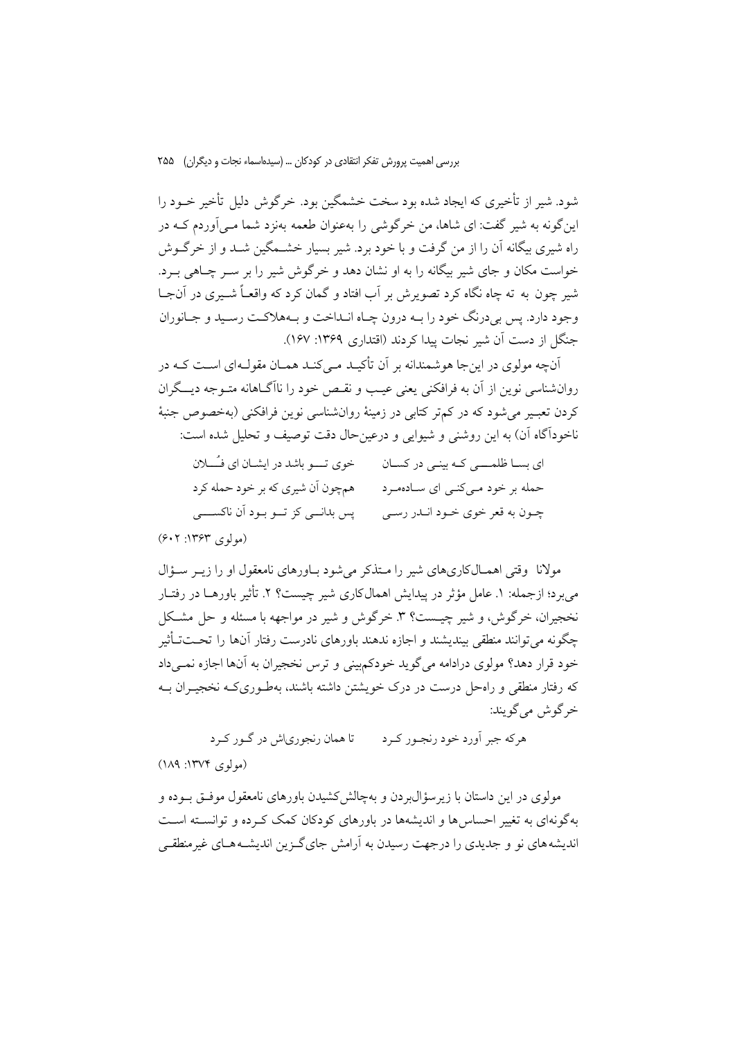شود. شیر از تأخیری که ایجاد شده بود سخت خشمگین بود. خرگوش دلیل تأخیر خـود را این گونه به شیر گفت: ای شاها، من خرگوشی را بهعنوان طعمه بهنزد شما مبی آوردم کــه در راه شیری بیگانه آن را از من گرفت و با خود برد. شیر بسیار خشــمگین شــد و از خرگــوش خواست مکان و جای شیر بیگانه را به او نشان دهد و خرگوش شیر را بر سـر چـاهی بــرد. شیر چون به ته چاه نگاه کرد تصویرش بر آب افتاد و گمان کرد که واقعـاً شــیری در آنجــا وجود دارد. پس بی درنگ خود را بـه درون چـاه انـداخت و بـههلاكـت رسـيد و جـانوران جنگل از دست آن شیر نجات پیدا کردند (اقتداری ۱۳۶۹: ۱۶۷).

آنچه مولوی در این جا هوشمندانه بر آن تأکیـد مـی کنـد همـان مقولـهای اسـت کـه در روانشناسی نوین از آن به فرافکنی یعنی عیـب و نقـص خود را ناآگــاهانه متــوجه دیـــگران کردن تعب می شود که در کم تر کتابی در زمینهٔ روانشناسی نوین فرافکنی (بهخصوص جنبهٔ ناخودآگاه آن) به این روشنی و شیوایی و درعینحال دقت توصیف و تحلیل شده است:

| خوى تــــو باشد در ايشــان اى فــَـــلان | ای بسا ظلمسی کـه بینـی در کسـان |
|------------------------------------------|---------------------------------|
| همچون اّن شیری که بر خود حمله کرد        | حمله بر خود میکنی ای سادهمرد    |
| پس بدانـــي کز تـــو بــود أن ناکســـــي | چـون به قعر خوي خـود انـدر رسـي |
| (مولوی ۱۳۶۳: ۶۰۲)                        |                                 |

مولانا وقتی اهمـالکاریهای شیر را مـتذکر می شود بـاورهای نامعقول او را زیـر سـؤال می برد؛ ازجمله: ١. عامل مؤثر در پیدایش اهمالکاری شیر چیست؟ ٢. تأثیر باورهــا در رفتــار نخجیران، خرگوش، و شیر چیـست؟ ۳. خرگوش و شیر در مواجهه با مسئله و حل مشـکل چگو نه می توانند منطقی بیندیشند و اجازه ندهند باورهای نادرست رفتار آنها را تحــتـتأثیر خود قرار دهد؟ مولوي درادامه مي گويد خودكم بيني و ترس نخجيران به آنها اجازه نمـي داد که رفتار منطقی و راهحل درست در درک خویشتن داشته باشند، بهطـوری کـه نخجیــوان بـه خر گوش مي گويند:

تا همان رنجوري اش در گـور کـرد هرکه جبر آورد خود رنجـور کـرد

(مولوی ۱۳۷۴: ۱۸۹)

مولوی در این داستان با زیر سؤال بردن و بهچالش کشیدن باورهای نامعقول موفــق بــوده و په گونهای په تغییر احساس ها و اندیشهها در پاورهای کودکان کمک که ده و توانسته است اندیشه های نو و جدیدی را درجهت رسیدن به آرامش جای گیزین اندیشـه هـای غیرمنطقـی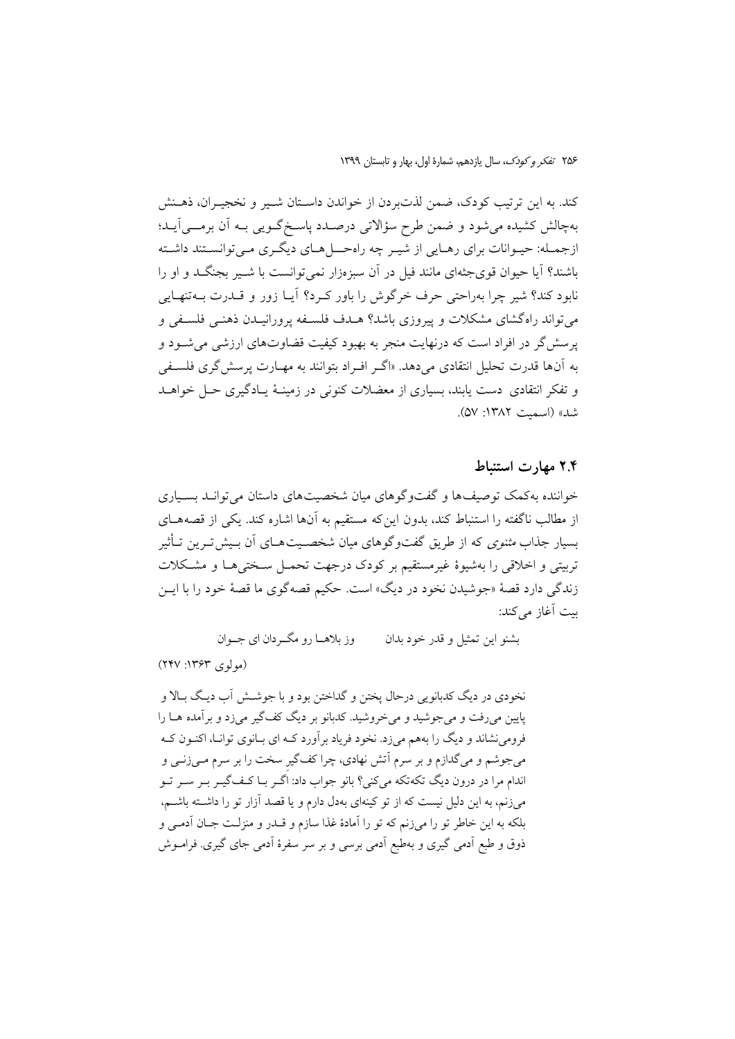کند. به این ترتیب کودک، ضمن لذتبردن از خواندن داسـتان شـیر و نخجیـران، ذهــنش بهچالش کشیده می شود و ضمن طرح سؤالاتی درصـدد پاسـخگـویی بـه آن برمـــی]یــد؛ ازجمـله: حيـوانات براي رهـايي از شيـر چه راهحــلهـاي ديگـري مـي توانسـتند داشـته باشند؟ آيا حيوان قوىجثهاى مانند فيل در آن سبز مزار نمى توانست با شـير بجنگــد و او را نابود کند؟ شیر چرا بهراحتی حرف خرگوش را باور کرد؟ آیــا زور و قــدرت بــهتنهــایی می تواند راهگشای مشکلات و پیروزی باشد؟ هــدف فلســفه پرورانیــدن ذهنــی فلســفی و پرسش گر در افراد است که درنهایت منجر به بهبود کیفیت قضاوتهای ارزشی می شود و به آنها قدرت تحلیل انتقادی میدهد. «اگـر افـراد بتوانند به مهـارت پرسش گری فلسـفی و تفکر انتقادی دست پابند، بسیاری از معضلات کنونی در زمینـهٔ پـادگیری حـل خواهــد شد» (اسمت ۱۳۸۲: ۵۷).

### ۲.۴ مهارت استنباط

خواننده به کمک توصیف ها و گفت وگو های میان شخصیت های داستان می توانـد بسـیاری از مطالب ناگفته را استنباط کند، بدون این که مستقیم به آنها اشاره کند. یکی از قصههـای بسیار جذاب *مثنوی* که از طریق گفتوگوهای میان شخصـیتهــای اَن بـیش تــرین تــأثیر تربيتي و اخلاقي را بهشيوهٔ غيرمستقيم بر كودك درجهت تحمـل سـختي هـا و مشـكلات زندگی دارد قصهٔ «جوشیدن نخود در دیگ» است. حکیم قصهگوی ما قصهٔ خود را با ایــن بيت آغاز مي كند:

> وز بلاهــا رو مگــردان اي جــوان بشنو اين تمثيل و قدر خود بدان

 $(YYY:YYY)$  (مو لوی)

نخودي در ديگ كدبانويي درحال يختن و گداختن بود و با جوشش آب ديگ بـالا و پایین میرفت و می جوشید و می خروشید. کدبانو بر دیگ کف گیر میزد و برآمده هـا را فرومی نشاند و دیگ را بههم میزد. نخود فریاد برآورد کـه ای بـانوی توانـا، اکنـون کـه میجوشم و میگدازم و بر سرم آتش نهادی، چرا کفگیر سخت را بر سرم مـیزنـی و اندام مرا در درون دیگ تکهتکه میکنی؟ بانو جواب داد: اگـر بـا کـفّ گیـر بـر سـر تـو میزنم، به این دلیل نیست که از تو کینهای بهدل دارم و یا قصد آزار تو را داشته باشم. بلکه به این خاطر تو را میزنم که تو را آمادهٔ غذا سازم و قــدر و منزلـت جـان آدمـی و ذوق و طبع آدمی گیری و بهطبع آدمی برسی و بر سر سفرهٔ آدمی جای گیری. فرامــوش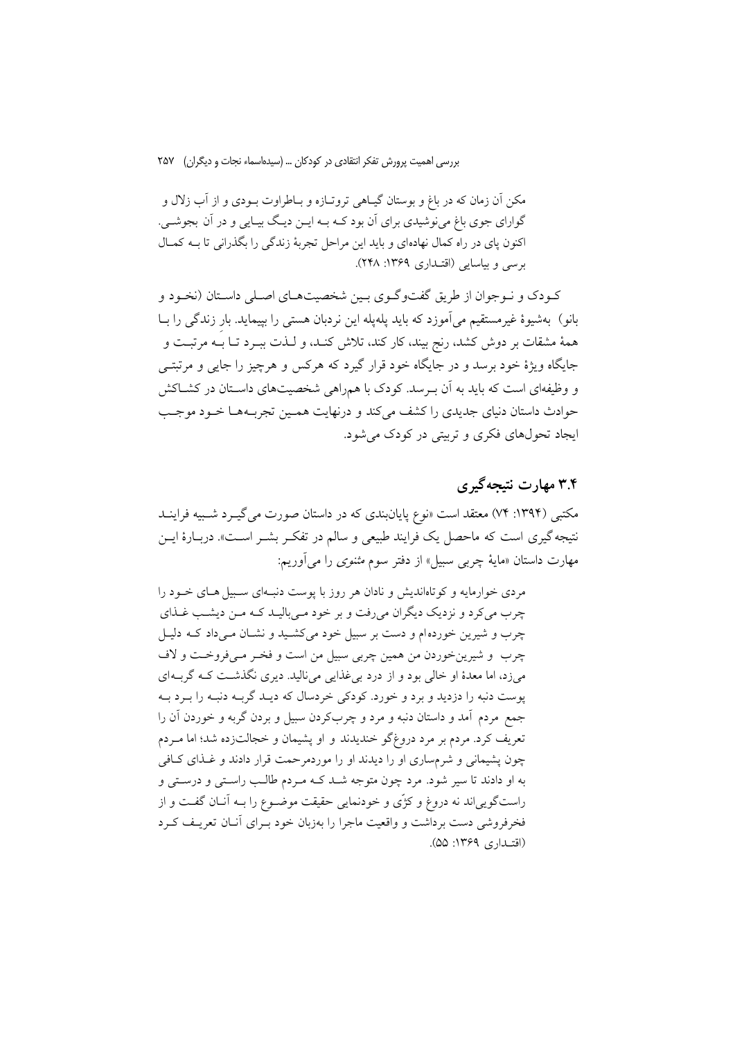مکن آن زمان که در باغ و بوستان گیـاهی تروتـازه و بـاطراوت بـودی و از آب زلال و گوارای جوی باغ می نوشیدی برای آن بود کـه بـه ایــن دیـگ بیــایی و در آن بجوشــی. اکنون پای در راه کمال نهادهای و باید این مراحل تجربهٔ زندگی را بگذرانی تا بـه کمـال برسی و بیاسایی (اقتـداری ۱۳۶۹: ۲۴۸).

کـودک و نـوجوان از طریق گفتوگـوی بـین شخصیتهـای اصـلی داسـتان (نخـود و بانو) بهشیوهٔ غیرمستقیم می آموزد که باید یلهیله این نردبان هستی را بییماید. بار زندگی را بــا همهٔ مشقات بر دوش کشد، رنج بیند، کار کند، تلاش کنـد، و لـذت ببـرد تـا بــه مرتبـت و جایگاه ویژهٔ خود برسد و در جایگاه خود قرار گیرد که هرکس و هرچیز را جایی و مرتبتـی و وظیفهای است که باید به آن بـرسد. کودک با همراهی شخصیتهای داسـتان در کشــاکش حوادث داستان دنیای جدیدی را کشف می کند و درنهایت همین تجربـههـا خـود موجـب ایجاد تحولهای فکری و تربیتی در کودک می شود.

# ۳.۴ مهارت نتیجه گیری

مکتبی (۱۳۹۴: ۷۴) معتقد است «نوع پایانبندی که در داستان صورت می گیــرد شــبیه فراینــد نتیجه گیری است که ماحصل یک فرایند طبیعی و سالم در تفکـر بشــر اســت». دربــارهٔ ایــن مهارت داستان «مایهٔ چرب<sub>ی</sub> سبیل» از دفتر سوم *مثنوی* را میآوریم:

مردی خوارمایه و کوتاهاندیش و نادان هر روز با پوست دنیهای سبیل هیای خبود را چرب میکرد و نزدیک دیگران میرفت و بر خود میبالیـد کـه مـن دیشـب غـذای چرب و شیرین خوردهام و دست بر سبیل خود میکشید و نشان میداد که دلیل چرب و شيرينخوردن من همين چربي سبيل من است و فخير مي فروخت و لاف میزد، اما معدهٔ او خالبی بود و از درد بی غذایی می نالید. دیری نگذشت کـه گربـهای پوست دنبه را دزدید و برد و خورد. کودکی خردسال که دیـد گربـه دنبـه را بـرد بـه جمع مردم آمد و داستان دنبه و مرد و چربکردن سبیل و بردن گربه و خوردن آن را تعریف کرد. مردم بر مرد دروغگو خندیدند و او پشیمان و خجالتزده شد؛ اما مـردم چون پشیمانی و شرمساری او را دیدند او را موردمرحمت قرار دادند و غـذای کـافی به او دادند تا سیر شود. مرد چون متوجه شـد کـه مـردم طالـب راسـتی و درسـتی و راستگوییاند نه دروغ و کژی و خودنمایی حقیقت موضـوع را بــه آنــان گفــت و از فخرفروشی دست برداشت و واقعیت ماجرا را بهزبان خود بـرای آنـان تعریـف کـرد (اقتبداری ۱۳۶۹: ۵۵).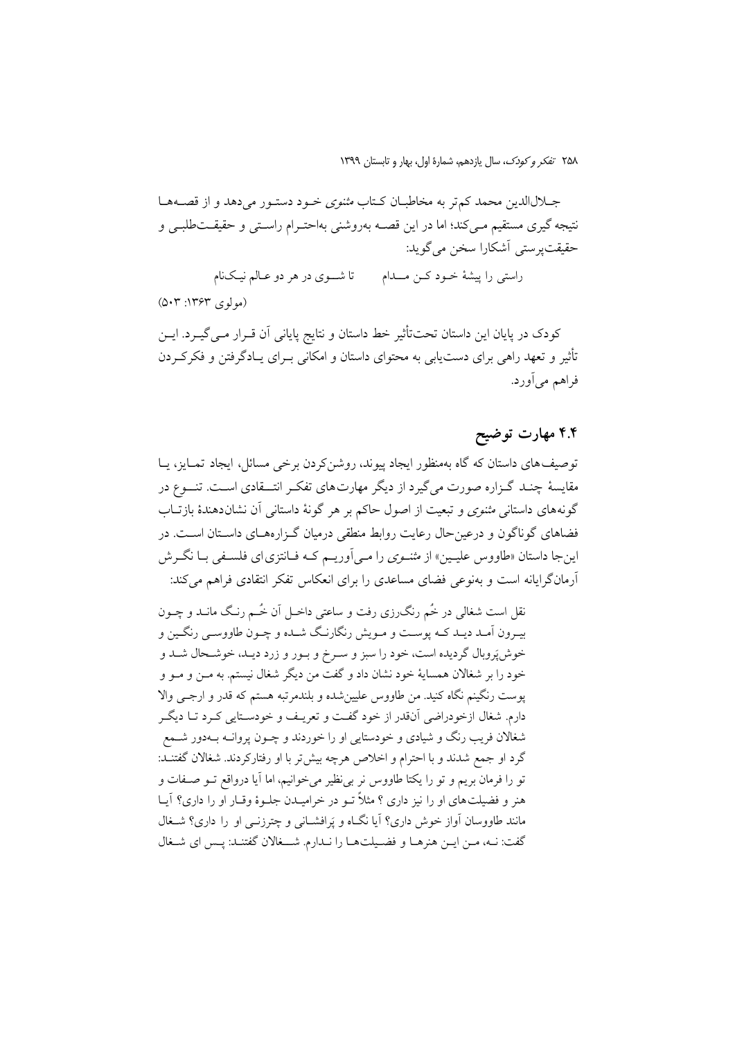جـلالالدين محمد كمتر به مخاطبـان كـتاب *مثنوى خـو*د دستـور مى دهد و از قصــههـا .<br>نتیجه گیری مستقیم مـی)کند؛ اما در این قصــه بهروشنی بهاحتـرام راســتی و حقیقــتطلبـی و حقيقت پرستي آشكارا سخن مي گويد:

> تا شـوي در هر دو عـالم نيـکنام راستی را پیشهٔ خــود کــن مــــدام

 $(0.7$  :۱۳۶۳ مولوی ۱۳۶۳:

كودك در پايان اين داستان تحتتأثير خط داستان و نتايج پاياني آن قــرار مــيگيــرد. ايــن تأثیر و تعهد راهی برای دست یابی به محتوای داستان و امکانی بـرای یـادگرفتن و فکرکـردن فراهم مي آورد.

### ۴.۴ مهارت توضیح

توصیف های داستان که گاه بهمنظور ایجاد پیوند، روشنکردن برخی مسائل، ایجاد تمـایز، یــا مقایسهٔ چنـد گـزاره صورت میگیرد از دیگر مهارتهای تفکـر انتــقادی اسـت. تنــوع در گونههای داستانی *مثنوی و* تبعیت از اصول حاکم بر هر گونهٔ داستانی آن نشاندهندهٔ بازتــاب فضاهای گوناگون و درعین حال رعایت روابط منطقی درمیان گـزارههـای داســتان اســت. در این جا داستان «طاووس علیـین» از *مثنـوی* را مـی[وریـم کـه فـانتزی|ی فلسـفی بـا نگـرش آرمانگرایانه است و بهنوعی فضای مساعدی را برای انعکاس تفکر انتقادی فراهم می کند:

نقل است شغالی در خُم رنگ رزی رفت و ساعتی داخـل آن خُــم رنـگ مانــد و چــون بيـرون أمـد ديـد كـه يوسـت و مـويش رنگارنـگ شـده و چـون طاووسـي رنگـين و خوش پَروبال گردیده است، خود را سبز و سـرخ و بـور و زرد دیـد، خوشـحال شـد و خود را بر شغالان همسايهٔ خود نشان داد و گفت من ديگر شغال نيستم. به مــن و مــو و يوست رنگينم نگاه كنيد. من طاووس عليين شده و بلندمرتبه هستم كه قدر و ارجى والا دارم. شغال ازخودراضي آنقدر از خود گفت و تعريـف و خودسـتايي كـرد تـا ديگـر شغالان فریب رنگ و شیادی و خودستایی او را خوردند و چــون پروانــه بــهدور شـــمع گرد او جمع شدند و با احترام و اخلاص هرچه بیش تر با او رفتارکردند. شغالان گفتنــد: تو را فرمان بریم و تو را یکتا طاووس نر بی نظیر میخوانیم، اما آیا درواقع تـو صـفات و هنر و فضیلتهای او را نیز داری ؟ مثلاً تــو در خرامیــدن جلــوهٔ وقــار او را داری؟ آیــا مانند طاووسان آواز خوش داری؟ آیا نگـاه و پَرافشـانی و چترزنــی او را داری؟ شــغال گفت: نـه، مـن ايـن هنرهـا و فضـيلتهـا را نـدارم. شــغالان گفتنـد: پـس اي شـغال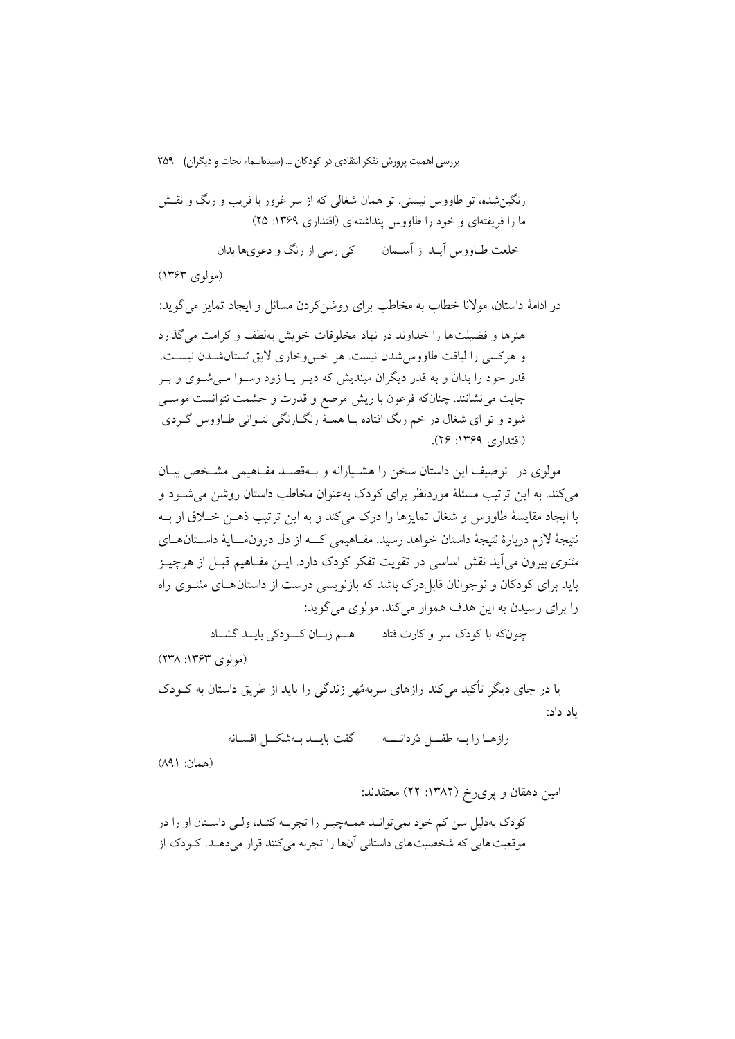رنگین شده، تو طاووس نیستی. تو همان شغالی که از سر غرور با فریب و رنگ و نقــش ما را فریفتهای و خود را طاووس پنداشتهای (اقتداری ۱۳۶۹: ۲۵). خلعت طــاووس آيــد ز آســـمان کې رسې از رنگ و دعویها بدان

(مولوی ۱۳۶۳)

در ادامهٔ داستان، مولانا خطاب به مخاطب برای روشنکردن مسائل و ایجاد تمایز می گوید: هنرها و فضیلت ها را خداوند در نهاد مخلوقات خویش بهلطف و کرامت می گذارد و هرکسی را لیاقت طاووس شدن نیست. هر خسووخاری لایق بُستان شدن نیسـت. قدر خود را بدان و به قدر دیگران میندیش که دیـر یـا زود رسـوا مـیشـوی و بـر جایت می نشانند. چنانکه فرعون با ریش مرصع و قدرت و حشمت نتوانست موســی شود و تو ای شغال در خم رنگ افتاده بـا همـهٔ رنگـارنگی نتـوانی طـاووس گـردی (اقتداری ۱۳۶۹: ۲۶).

مولوی در توصیف این داستان سخن را هشـیارانه و بـهقصـد مفـاهیمی مشـخص بیـان می کند. به این ترتیب مسئلهٔ موردنظر برای کودک بهعنوان مخاطب داستان روشن می شـود و با ایجاد مقایسهٔ طاووس و شغال تمایزها را درک میکند و به این ترتیب ذهـن خــلاق او بــه نتيجهٔ لازم دربارهٔ نتيجهٔ داستان خواهد رسيد. مفــاهيمي کـــه از دل درونمــــايهٔ داســتانهــاي *مثنوی* بیرون می∫ید نقش اساسی در تقویت تفکر کودک دارد. ایــن مفــاهیم قبــل از هرچیــز باید برای کودکان و نوجوانان قابل درک باشد که بازنویسی درست از داستان هـای مثنــوی راه را برای رسیدن به این هدف هموار می کند. مولوی می گوید:

چونکه با کودک سر و کارت فتاد معے زبان کودکی بایــد گشــاد

 $(14)$  (مو لو ې ۱۳۶۳: ۱۳۸)

یا در جای دیگر تأکید میکند رازهای سربههُهر زندگی را باید از طریق داستان به کــودک باد داد:

رازهيا رايبه طفسل دردانسيه مستحكر كفت بايسد ببهشكسل افسيانه

(همان: ۸۹۱)

امین دهقان و پریرخ (۱۳۸۲: ۲۲) معتقدند:

كودك بهدليل سن كم خود نمي توانـد همـهچيـز را تجربـه كنـد، ولـي داسـتان او را در موقعیت هایی که شخصیت های داستانی آنها را تجربه می کنند قرار می دهـد. کــودک از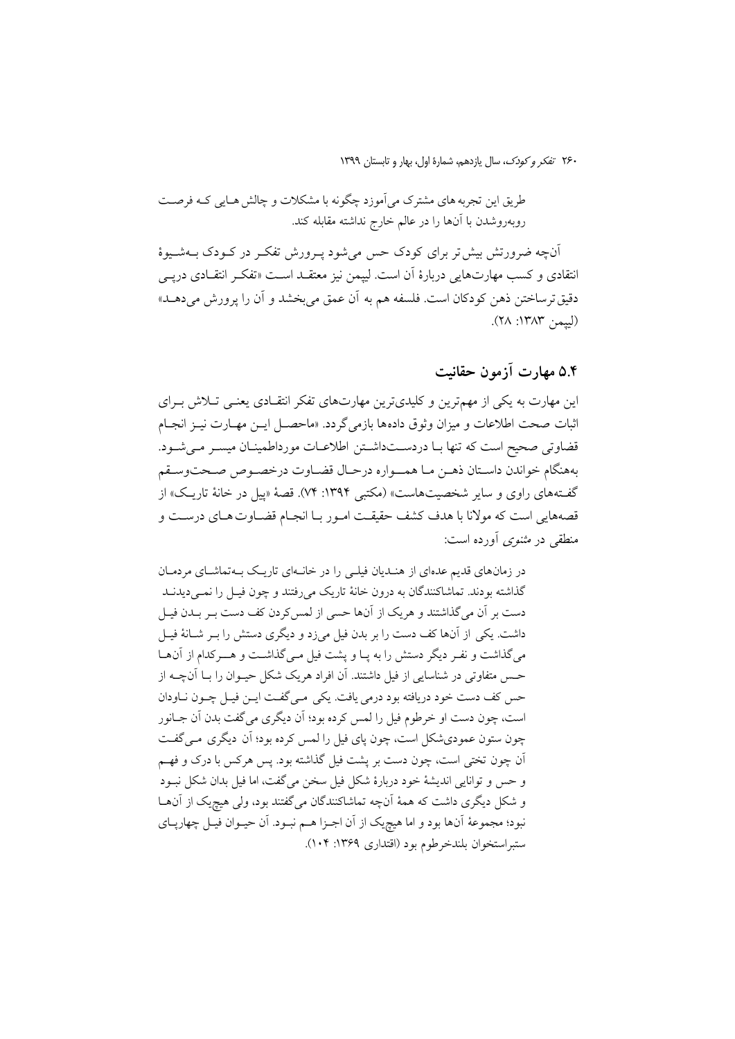طریق این تجربه های مشترک می آموزد چگونه با مشکلات و چالش هـایی کـه فرصـت روبهروشدن با آنها را در عالم خارج نداشته مقابله كند.

آنچه ضرورتش بیش تر برای کودک حس میشود پـرورش تفکـر در کــودک بــهشــیوهٔ انتقادی و کسب مهارتهایی دربارهٔ آن است. لیپمن نیز معتقــد اســت «تفکــر انتقــادی درپــی دقيق ترساختن ذهن كودكان است. فلسفه هم به آن عمق مي بخشد و آن را پرورش مي<هــد» (لسمن ١٣٨٣: ٢٨).

# ۵.۴ مهارت آزمون حقانیت

این مهارت به یکی از مهمترین و کلیدیترین مهارتهای تفکر انتقـادی یعنـی تـلاش بـرای اثبات صحت اطلاعات و ميزان وثوق دادهها بازمي گردد. «ماحصـل ايــن مهــارت نيــز انجــام قضاوتی صحیح است که تنها بـا دردسـتداشـتن اطلاعـات مورداطمينـان ميسـر مـىشـود. بههنگام خواندن داسـتان ذهـن مـا همــواره درحـال قضـاوت درخصـوص صـحتوسـقم گفـتههای راوی و سایر شخصیتهاست» (مکتبی ۱۳۹۴: ۷۴). قصهٔ «پیل در خانهٔ تاریـک» از قصههایی است که مولانا با هدف کشف حقیقـت امـور بـا انجـام قضـاوت هـای درســت و منطقی در *مثنوی* آورده است:

در زمانهای قدیم عدهای از هندیان فیلی را در خانهای تاریک بهتماشای مردمان گذاشته بودند. تماشاکنندگان به درون خانهٔ تاریک میرفتند و چون فیـل را نمـیدیدنــد دست بر آن میگذاشتند و هریک از آنها حسی از لمس کردن کف دست بـر بــدن فیــل داشت. یکی از آنها کف دست را بر بدن فیل میزد و دیگری دستش را بـر شـانهٔ فیـل میگذاشت و نفـر دیگر دستش را به پـا و پشت فیل مـیگذاشـت و هــرکدام از آنهـا حـس متفاوتی در شناسایی از فیل داشتند. آن افراد هریک شکل حیــوان را بــا آنچــه از حس كف دست خود دريافته بود درمي يافت. يكي مـي گفـت ايـن فيـل چـون نـاودان است، چون دست او خرطوم فیل را لمس كرده بود؛ أن دیگري مي گفت بدن أن جـانور چون ستون عمودي شکل است، چون پاي فيل را لمس کرده بود؛ آن ديگري مـي گفـت آن چون تختی است، چون دست بر پشت فیل گذاشته بود. پس هرکس با درک و فهـم و حس و توانایی اندیشهٔ خود دربارهٔ شکل فیل سخن میگفت، اما فیل بدان شکل نبـود و شکل دیگری داشت که همهٔ آنچه تماشاکنندگان میگفتند بود، ولی هیچیک از آنهـا نبود؛ مجموعهٔ آنها بود و اما هیچیک از آن اجـزا هـم نبـود. آن حیـوان فیـل چهارپــای ستبر استخوان بلندخر طوم بود (اقتداري ١٣۶٩: ١٠۴).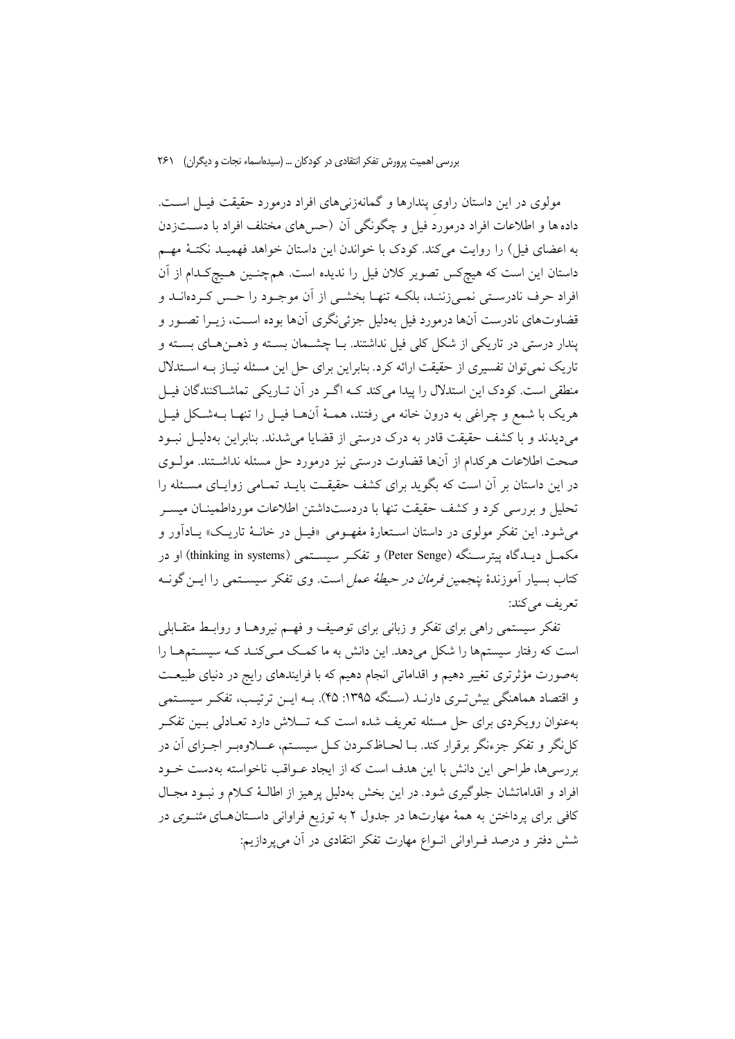مولوی در این داستان راوی پندارها و گمانهزنیهای افراد درمورد حقیقت فیـل اسـت. داده ها و اطلاعات افراد درموردٌ فیل و چگونگی آن (حس۵های مختلف افراد با دســـتزدن به اعضای فیل) را روایت میکند. کودک با خواندن این داستان خواهد فهمیـد نکتـهٔ مهـم داستان این است که هیچکس تصویر کلان فیل را ندیده است. همچنـین هـیچکـدام از آن افراد حرف نادرستی نمـیزننـد، بلکـه تنهـا بخشـی از آن موجـود را حـس کـردهانـد و قضاوتهای نادرست آنها درمورد فیل بهدلیل جزئی نگری آنها بوده است، زیــرا تصــور و يندار درستي در تاريكي از شكل كلي فيل نداشتند. بــا چشــمان بســته و ذهــنهــاي بســته و تاریک نمی توان تفسیری از حقیقت ارائه کرد. بنابراین برای حل این مسئله نیـاز بــه اســتدلال منطقی است. کودک این استدلال را پیدا میکند کـه اگـر در آن تـاریکی تماشــاکنندگان فیـل هريک با شمع و چراغي به درون خانه مي رفتند، همـهٔ آنهـا فيـل را تنهـا بــهشـكل فيـل می دیدند و با کشف حقیقت قادر به درک درستی از قضایا می شدند. بنابراین بهدلیـل نبـود صحت اطلاعات هركدام از آنها قضاوت درستي نيز درمورد حل مسئله نداشـتند. مولــوى در این داستان بر آن است که بگوید برای کشف حقیقت بایــد تمــامی زوایــای مســئله را تحلیل و بررسی کرد و کشف حقیقت تنها با دردستداشتن اطلاعات مورداطمینـان میســر می شود. این تفکر مولوی در داستان اسـتعارهٔ مفهـومی «فیـل در خانــهٔ تاریــک» یــادآور و مکمــل دیــدگاه پیترســنگه (Peter Senge) و تفکــر سیســتمی (thinking in systems) او در کتاب بسیار آموزندهٔ *ینجمین فرمان در حیطهٔ عمل است. وی تف*کر سیسـتمبی را ایــن گونــه تعريف مي كند:

تفکر سیستمی راهی برای تفکر و زبانی برای توصیف و فهـم نیروهـا و روابـط متقــابلـی است که رفتار سیستمها را شکل میدهد. این دانش به ما کمک مـیکنـد کـه سیسـتمهـا را بهصورت مؤثرتری تغییر دهیم و اقداماتی انجام دهیم که با فرایندهای رایج در دنیای طبیعـت و اقتصاد هماهنگی بیش تـری دارنـد (سـنگه ۱۳۹۵: ۴۵). بـه ایــن ترتیـب، تفکـر سیسـتمی بهعنوان رویکردی برای حل مسئله تعریف شده است کـه تـــلاش دارد تعــادلی بــین تفکــر کل نگر و تفکر جزءنگر برقرار کند. بــا لحــاظکـردن کــل سیســتم، عــــلاوهبــر اجــزای آن در بررسی ها، طراحی این دانش با این هدف است که از ایجاد عـواقب ناخواسته بهدست خـود افراد و اقداماتشان جلوگیری شود. در این بخش بهدلیل پرهیز از اطالـهٔ کـلام و نبـود مجـال کافی برای پرداختن به همهٔ مهارتها در جدول ۲ به توزیع فراوانی داسـتانهــای *مثنــوی* در شش دفتر و درصد فـراوانی انـواع مهارت تفکر انتقادی در آن میپردازیم: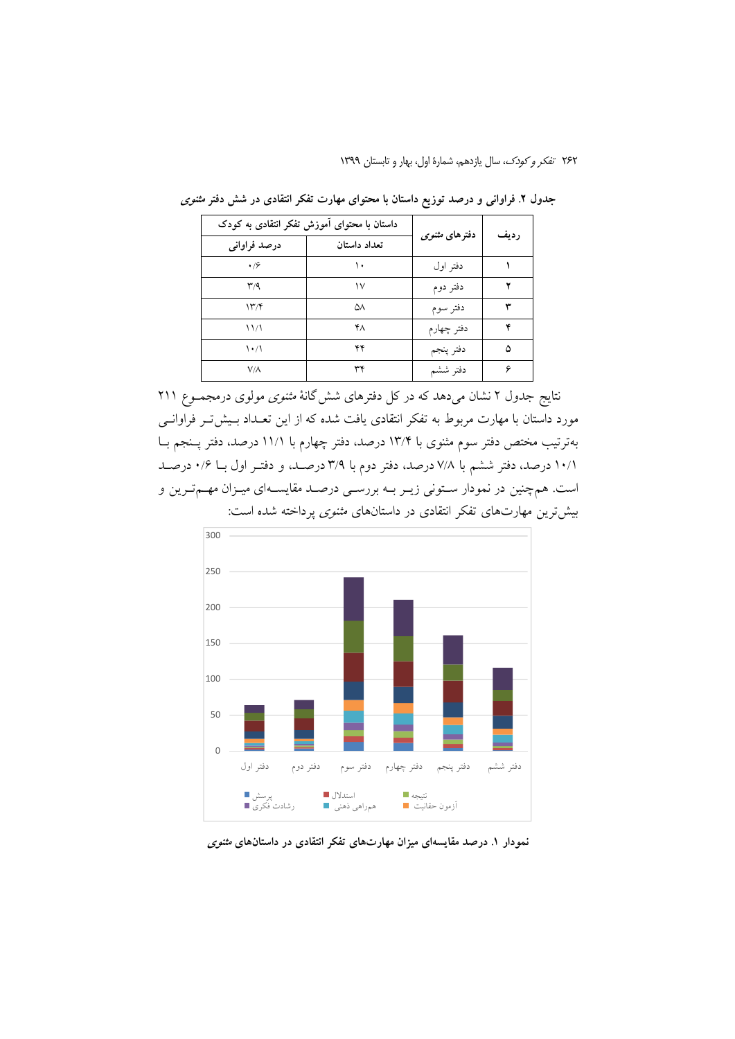۲۶۲ تفکر و کودک، سال یازدهم، شمارهٔ اول، بهار و تابستان ۱۳۹۹

| داستان با محتوای آموزش تفکر انتقادی به کودک |              |                       | رديف |
|---------------------------------------------|--------------|-----------------------|------|
| درصد فراواني                                | تعداد داستان | دفترهای مثن <i>وی</i> |      |
| $\cdot$ / $\circ$                           | ١.           | دفتر اول              |      |
| $\mathsf{r}/\mathsf{q}$                     | ۱٧           | دفتر دوم              |      |
| $\mathcal{N}(\mathcal{F})$                  | ۵٨           | دفتر سوم              |      |
| 11/1                                        | ۴٨           | دفتر چهارم            |      |
| $\mathcal{N}$                               | ۴۴           | دفتر ينجم             | ۵    |
| $V/\Lambda$                                 | ٣۴           | دفتر ششم              |      |

جدول ۲. فراوانی و درصد توزیع داستان با محتوای مهارت تفکر انتقادی در شش دفتر *مثنوی* 

نتایج جدول ۲ نشان میدهد که در کل دفترهای شش گانهٔ *مثنوی م*ولوی درمجمـوع ۲۱۱ مورد داستان با مهارت مربوط به تفکر انتقادی یافت شده که از این تعـداد بـیش تـر فراوانـی بهترتیب مختص دفتر سوم مثنوی با ۱۳/۴ درصد، دفتر چهارم با ۱۱/۱ درصد، دفتر پـنجم بـا ١٠/١ درصد، دفتر ششم با ٧/٨ درصد، دفتر دوم با ٣/٩ درصـد، و دفتـر اول بـا ٠/٤ درصـد است. همچنین در نمودار ستونی زیـر بـه بررسـی درصـد مقایسـهای میـزان مهــمتـرین و بیش ترین مهارتهای تفکر انتقادی در داستانهای *مثنوی* برداخته شده است:



نمودار ۱. درصد مقایسهای میزان مهارتهای تفکر انتقادی در داستانهای *مثنوی*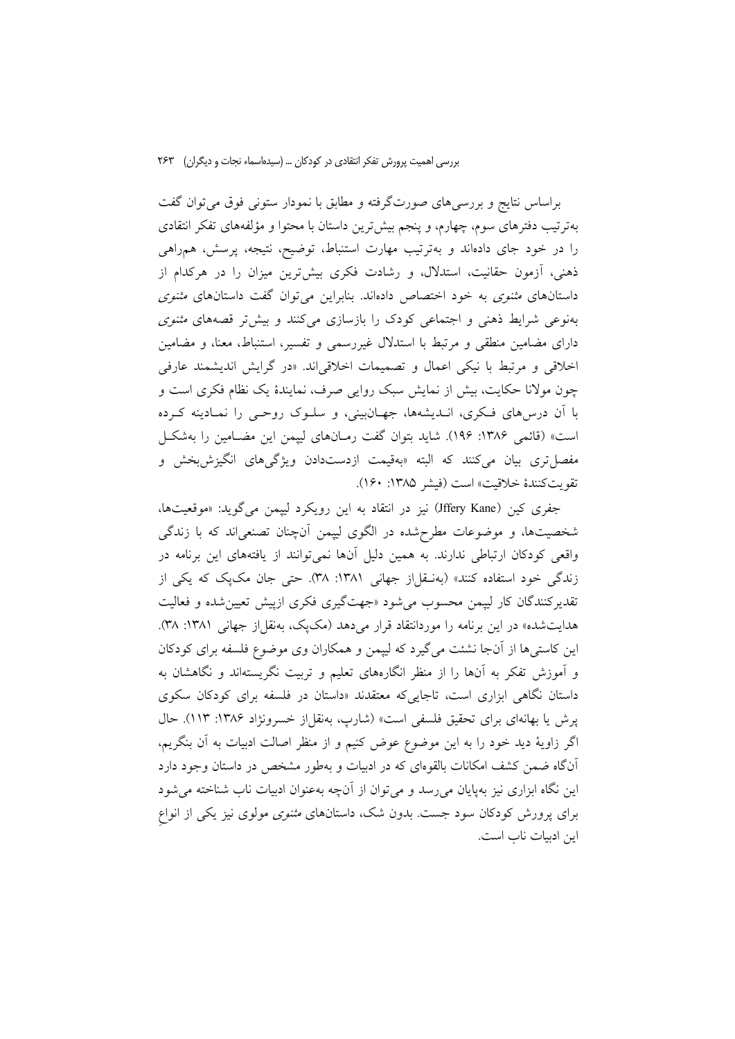براساس نتایج و بررسیهای صورتگرفته و مطابق با نمودار ستونی فوق میتوان گفت بهترتیب دفترهای سوم، چهارم، و پنجم بیشترین داستان با محتوا و مؤلفههای تفکر انتقادی را در خود جای دادهاند و بهترتیب مهارت استنباط، توضیح، نتیجه، پرسش، همراهی ذهنی، آزمون حقانیت، استدلال، و رشادت فکری بیشترین میزان را در هرکدام از داستانهای *مثنوی* به خود اختصاص دادهاند. بنابراین میتوان گفت داستانهای *مثنوی* بهنوعی شرایط ذهنی و اجتماعی کودک را بازسازی میکنند و بیش تر قصههای *مثنوی* دارای مضامین منطقی و مرتبط با استدلال غیررسمی و تفسیر، استنباط، معنا، و مضامین اخلاقی و مرتبط با نیکی اعمال و تصمیمات اخلاقی اند. «در گرایش اندیشمند عارفی چون مولانا حکایت، بیش از نمایش سبک روایی صرف، نمایندهٔ یک نظام فکری است و با آن درسهای فکری، انـدیشهها، جهـانبینی، و سلـوک روحـی را نمـادینه کـرده است» (قائمی ۱۳۸۶: ۱۹۶). شاید بتوان گفت رمـانهای لیپمن این مضـامین را بهشکـل مفصل تري بيان مي كنند كه البته «بهقيمت ازدستدادن ويژگيهاي انگيزش بخش و تقويت كنندة خلاقيت» است (فيشر ١٣٨٥: ١۶٠).

جفري كين (Jffery Kane) نيز در انتقاد به اين رويكرد لييمن مي گويد: «موقعيتها، شخصیتها، و موضوعات مطرحشده در الگوی لیپمن أنچنان تصنعیاند که با زندگی واقعی کودکان ارتباطی ندارند. به همین دلیل آنها نمی توانند از یافتههای این برنامه در زندگی خود استفاده کنند» (بهنـقل|ز جهانی ۱۳۸۱: ۳۸). حتی جان مک یک که یکی از تقدیر کنندگان کار لییمن محسوب می شود «جهتگیری فکری ازییش تعیین شده و فعالیت هدایتشده» در این برنامه را موردانتقاد قرار میدهد (مکپک، بهنقل|ز جهانی ۱۳۸۱: ۳۸). این کاستی ها از آنجا نشئت میگیرد که لیپمن و همکاران وی موضوع فلسفه برای کودکان و آموزش تفکر به آنها را از منظر انگارههای تعلیم و تربیت نگریستهاند و نگاهشان به داستان نگاهی ابزاری است، تاجایی که معتقدند «داستان در فلسفه برای کودکان سکوی پرش یا بهانهای برای تحقیق فلسفی است» (شارب، بهنقل|ز خسرونژاد ۱۳۸۶: ۱۱۳). حال اگر زاويهٔ ديد خود را به اين موضوع عوض كنيم و از منظر اصالت ادبيات به آن بنگريم، آنگاه ضمن کشف امکانات بالقوهای که در ادبیات و بهطور مشخص در داستان وجود دارد این نگاه ابزاری نیز بهپایان می رسد و می توان از آنچه بهعنوان ادبیات ناب شناخته می شود برای پرورش کودکان سود جست. بدون شک، داستانهای *مثنوی مولوی نیز یکی از انواع* اين ادبيات ناب است.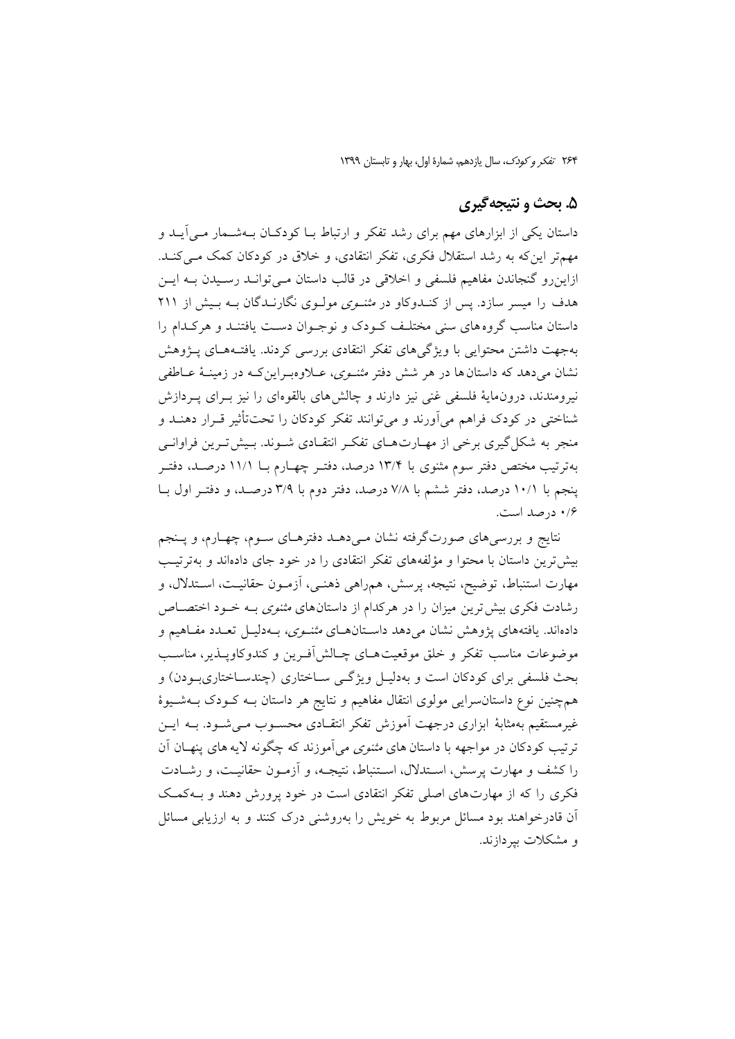### ۵. بحث و نتیجهگیری

داستان یکی از ابزارهای مهم برای رشد تفکر و ارتباط بــا کودکــان بــهشــمار مــی[یــد و مهمتر این که به رشد استقلال فکری، تفکر انتقادی، و خلاق در کودکان کمک مےکند. ازاینرو گنجاندن مفاهیم فلسفی و اخلاقی در قالب داستان مـیتوانـد رسـیدن بـه ایـن هدف را میسر سازد. پس از کنـدوکاو در *مثنـوی مولـوی نگارنـدگان بـه بـیش از ۲*۱۱ داستان مناسب گروههای سنی مختلف کـودک و نوجـوان دسـت یافتنـد و هرکـدام را بهجهت داشتن محتوايي با ويژگىهاى تفكر انتقادى بررسى كردند. يافتـههـاى پــژوهش نشان میدهد که داستان ها در هر شش دفتر *مثنـوی*، عــلاوهبـراینکـه در زمینــهٔ عــاطفی نیرومندند، درون،مایهٔ فلسفی غنی نیز دارند و چالش های بالقوهای را نیز بـرای پـردازش شناختی در کودک فراهم می آورند و میتوانند تفکر کودکان را تحتتأثیر قـرار دهنــد و منجر به شکل گیری برخی از مهـارتهـای تفکـر انتقـادی شـوند. بـیش تـرین فراوانـی بهترتیب مختص دفتر سوم مثنوی با ۱۳/۴ درصد، دفتـر چهـارم بــا ۱۱/۱ درصـد، دفتـر پنجم با ۱۰/۱ درصد، دفتر ششم با ۷/۸ درصد، دفتر دوم با ۳/۹ درصـد، و دفتـر اول بـا ۰/۶ درصد است.

نتایج و بررسیهای صورتگرفته نشان مـیدهــد دفترهــای ســوم، چهــارم، و پــنجم بیش ترین داستان با محتوا و مؤلفههای تفکر انتقادی را در خود جای دادهاند و بهترتیب مهارت استنباط، توضیح، نتیجه، پرسش، همراهی ذهنـی، آزمـون حقانیـت، اسـتدلال، و رشادت فکری بیش ترین میزان را در هرکدام از داستانهای *مثنوی* بــه خــود اختصــاص دادهاند. یافتههای پژوهش نشان میدهد داستانهای *مثنوی،* بـهدلیـل تعـدد مفـاهیم و موضوعات مناسب تفكر و خلق موقعيت هـاي چـالش|فـرين و كندوكاويــذير، مناسـب بحث فلسفی برای کودکان است و بهدلیـل ویژگـی سـاختاری (چندسـاختاریبـودن) و همچنین نوع داستان سرایی مولوی انتقال مفاهیم و نتایج هر داستان بــه کــودک بــهشــیوهٔ غیرمستقیم بهمثابهٔ ابزاری درجهت اَموزش تفکر انتقـادی محســوب مــی شــود. بــه ایــن ترتیب کودکان در مواجهه با داستان های *مثنوی می*آموزند که چگونه لایه های پنهــان آن را كشف و مهارت پرسش، اسـتدلال، اسـتنباط، نتيجـه، و آزمـون حقانيـت، و رشـادت فکری را که از مهارتهای اصلی تفکر انتقادی است در خود پرورش دهند و بـهکمـک آن قادرخواهند بود مسائل مربوط به خویش را بهروشنی درک کنند و به ارزیابی مسائل و مشکلات بیردازند.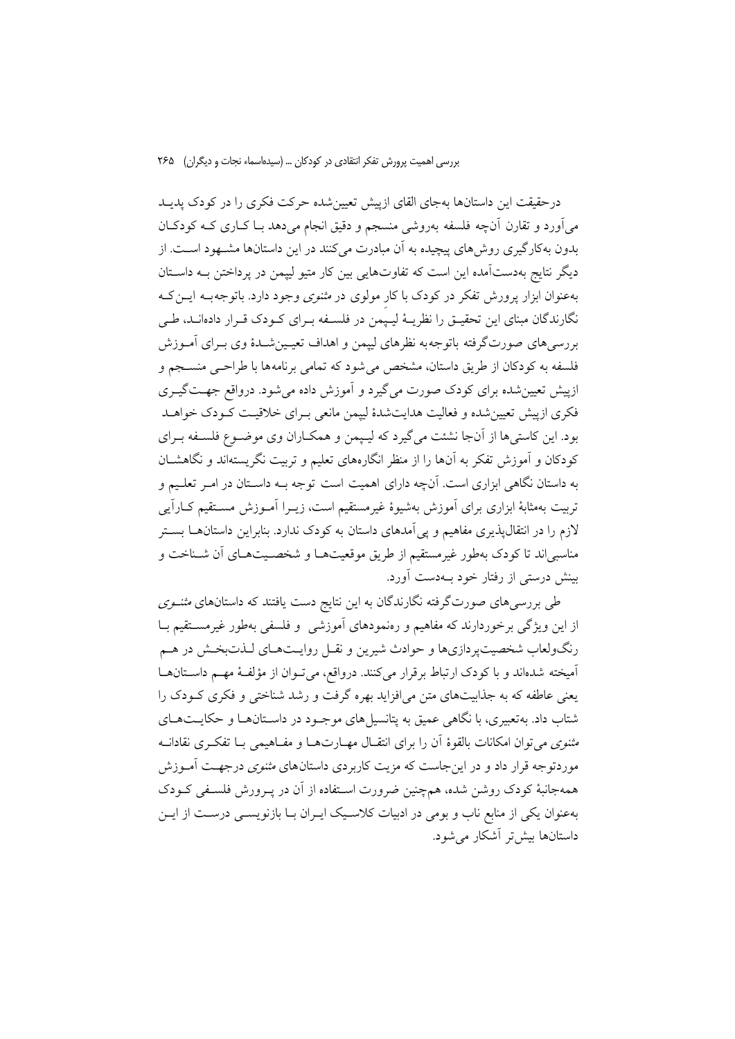درحقیقت این داستانها بهجای القای ازییش تعیین شده حرکت فکری را در کودک پدیـد میآورد و تقارن آنچه فلسفه بهروشی منسجم و دقیق انجام میدهد بـا کـاری کـه کودکـان بدون بهکارگیری روش های پیچیده به آن مبادرت میکنند در این داستانها مشـهود اسـت. از دیگر نتایج بهدستآمده این است که تفاوتهایی بین کار متیو لیپمن در پرداختن بـه داسـتان بهعنوان ابزار پرورش تفکر در کودک با کار مولوی در *مثنوی وجو*د دارد. باتوجهبه ایس ک نگارندگان مبنای این تحقیـق را نظریـهٔ لیـیمن در فلسـفه بـرای کـودک قـرار دادهانـد، طـی بررسیهای صورتگرفته باتوجهبه نظرهای لیپمن و اهداف تعیمینشدهٔ وی بـرای آمـوزش فلسفه به کودکان از طریق داستان، مشخص میشود که تمامی برنامهها با طراحـی منســجم و ازپیش تعیین شده برای کودک صورت می گیرد و آموزش داده می شود. درواقع جهـتگیــری فکری ازییش تعیین شده و فعالیت هدایتشدهٔ لییمن مانعی بـرای خلاقیـت کـودک خواهـد بود. این کاستیها از آنجا نشئت میگیرد که لیپمن و همکـاران وی موضـوع فلسـفه بـرای کودکان و آموزش تفکر به آنها را از منظر انگارههای تعلیم و تربیت نگریستهاند و نگاهشـان به داستان نگاهی ابزاری است. آنچه دارای اهمیت است توجه بـه داسـتان در امـر تعلـیم و تربیت بهمثابهٔ ابزاری برای آموزش بهشیوهٔ غیرمستقیم است، زیــرا آمــوزش مســتقیم کــاراَیـی لازم را در انتقالپذیری مفاهیم و پی آمدهای داستان به کودک ندارد. بنابراین داستانهـا بسـتر مناسبی اند تا کودک بهطور غیرمستقیم از طریق موقعیتهـا و شخصـیتهـای آن شـناخت و بینش درستی از رفتار خود بـهدست آورد.

طی بررسیهای صورتگرفته نگارندگان به این نتایج دست یافتند که داستانهای *مثنــوی* از این ویژگی برخوردارند که مفاهیم و رمنمودهای آموزشی و فلسفی بهطور غیرمسـتقیم بـا رنگولعاب شخصیتپردازیها و حوادث شیرین و نقـل روایـتهـای لـذتبخـش در هـم أميخته شدهاند و با كودك ارتباط برقرار مي كنند. درواقع، مي تـوان از مؤلفـهٔ مهـم داسـتانهـا یعنی عاطفه که به جذابیتهای متن می افزاید بهره گرفت و رشد شناختی و فکری کـودک را شتاب داد. بهتعبیری، با نگاهی عمیق به پتانسپل های موجـود در داســتانهــا و حکایــتهــای *مثنوى مى تو*ان امكانات بالقوة آن را براى انتقـال مهـارتهـا و مفــاهيمى بــا تفكـرى نقادانــه موردتوجه قرار داد و در اینجاست که مزیت کاربردی داستانهای *مثنوی* درجهـت آمــوزش همهجانبهٔ کودک روشن شده، همچنین ضرورت اسـتفاده از آن در پـرورش فلسـفی کـودک بهعنوان یکی از منابع ناب و بومی در ادبیات کلاسـیک ایـران بـا بازنویسـی درســت از ایــن داستانها بيش تر آشكار مي شود.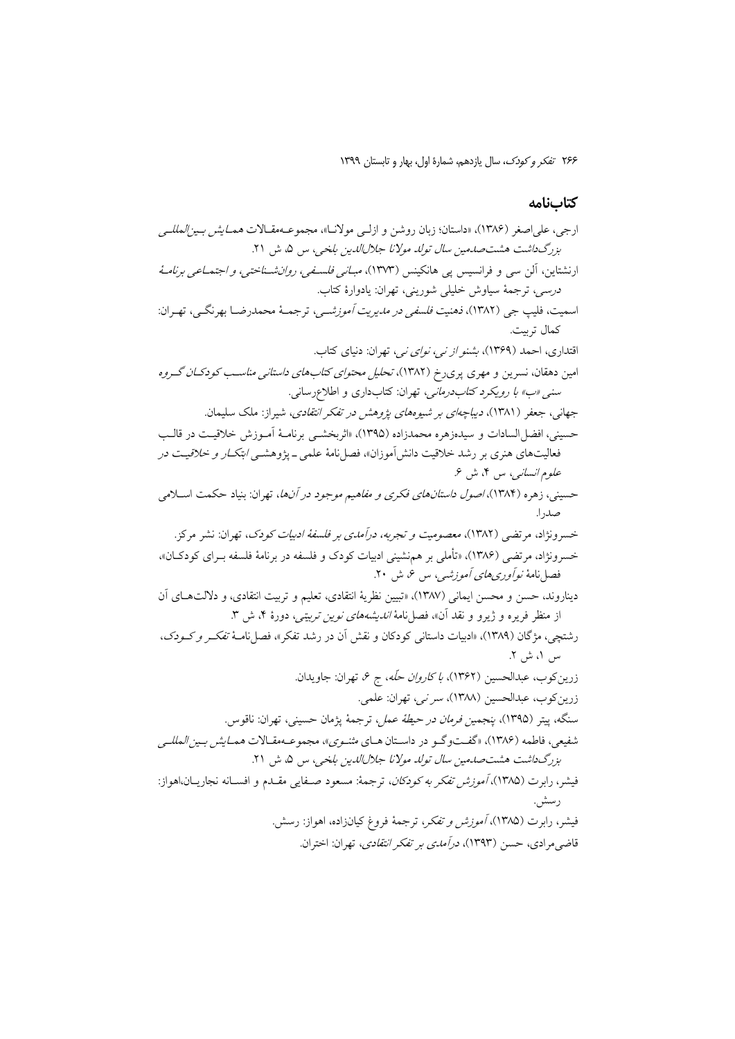# كتابنامه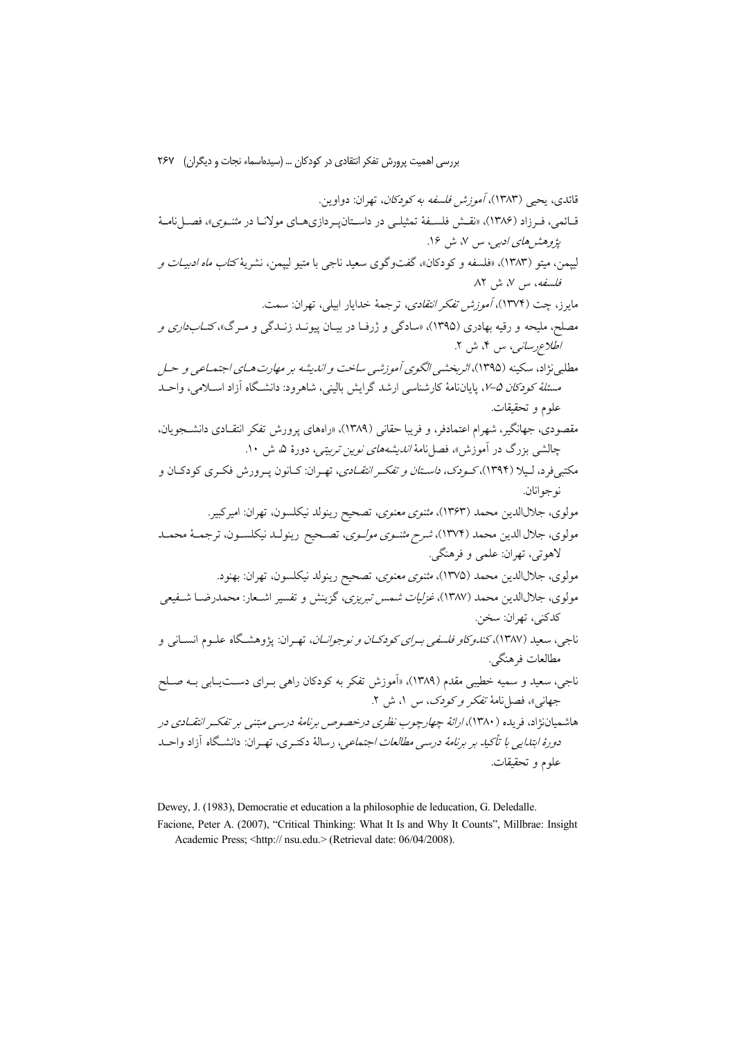Dewey, J. (1983), Democratie et education a la philosophie de leducation, G. Deledalle.

Facione, Peter A. (2007), "Critical Thinking: What It Is and Why It Counts", Millbrae: Insight Academic Press; <http:// nsu.edu.> (Retrieval date: 06/04/2008).